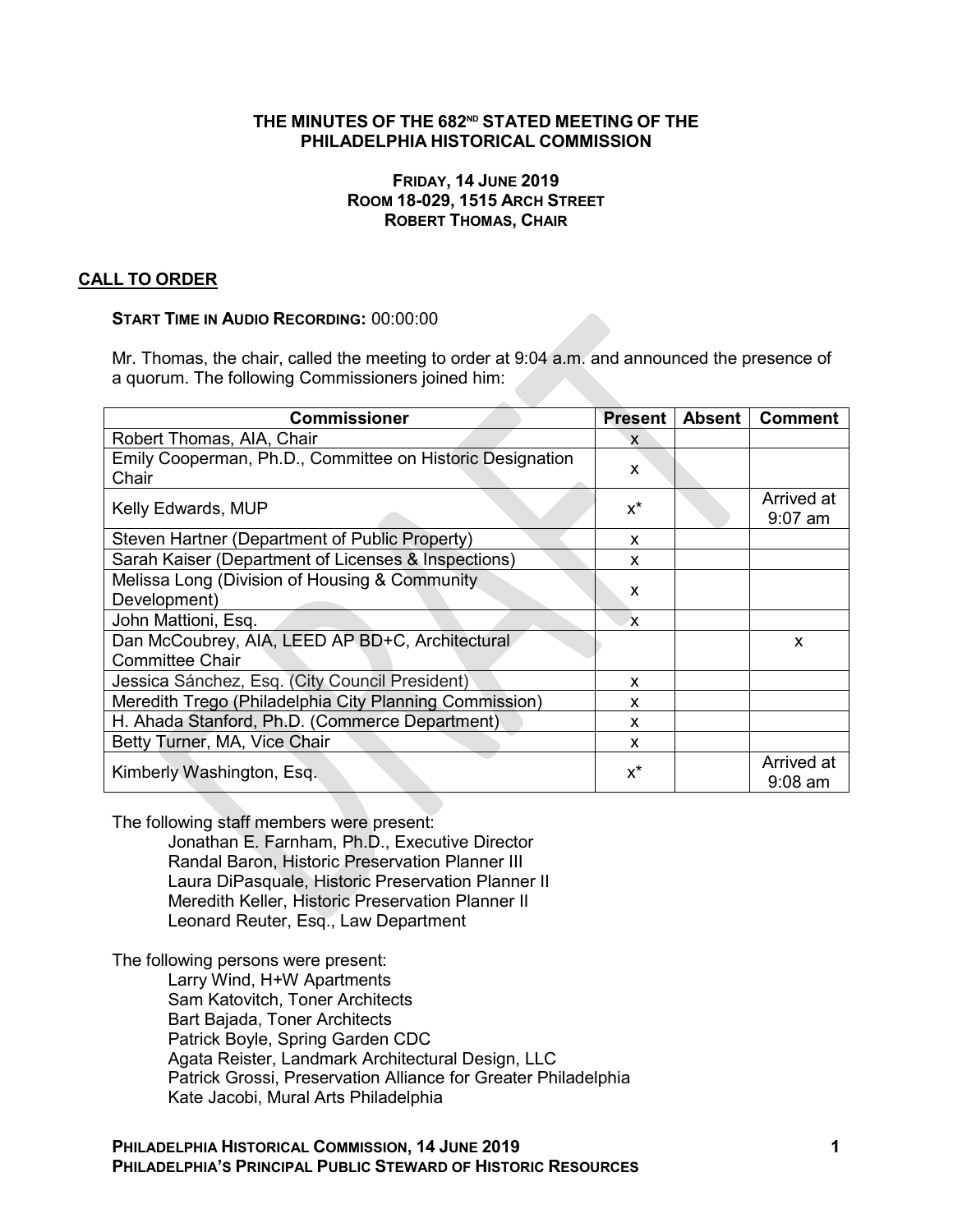## **THE MINUTES OF THE 682ND STATED MEETING OF THE PHILADELPHIA HISTORICAL COMMISSION**

### **FRIDAY, 14 JUNE 2019 ROOM 18-029, 1515 ARCH STREET ROBERT THOMAS, CHAIR**

## **CALL TO ORDER**

### **START TIME IN AUDIO RECORDING:** 00:00:00

Mr. Thomas, the chair, called the meeting to order at 9:04 a.m. and announced the presence of a quorum. The following Commissioners joined him:

| <b>Commissioner</b>                                       | Present      | <b>Absent</b> | <b>Comment</b> |
|-----------------------------------------------------------|--------------|---------------|----------------|
| Robert Thomas, AIA, Chair                                 | X            |               |                |
| Emily Cooperman, Ph.D., Committee on Historic Designation | X            |               |                |
| Chair                                                     |              |               |                |
| Kelly Edwards, MUP                                        | $x^*$        |               | Arrived at     |
|                                                           |              |               | $9:07$ am      |
| Steven Hartner (Department of Public Property)            | X            |               |                |
| Sarah Kaiser (Department of Licenses & Inspections)       | X            |               |                |
| Melissa Long (Division of Housing & Community             | X            |               |                |
| Development)                                              |              |               |                |
| John Mattioni, Esq.                                       | $\mathbf{x}$ |               |                |
| Dan McCoubrey, AIA, LEED AP BD+C, Architectural           |              |               | x              |
| <b>Committee Chair</b>                                    |              |               |                |
| Jessica Sánchez, Esq. (City Council President)            | X            |               |                |
| Meredith Trego (Philadelphia City Planning Commission)    | X            |               |                |
| H. Ahada Stanford, Ph.D. (Commerce Department)            | X            |               |                |
| Betty Turner, MA, Vice Chair                              | X            |               |                |
|                                                           | $x^*$        |               | Arrived at     |
| Kimberly Washington, Esq.                                 |              |               | $9:08$ am      |

The following staff members were present:

Jonathan E. Farnham, Ph.D., Executive Director Randal Baron, Historic Preservation Planner III Laura DiPasquale, Historic Preservation Planner II Meredith Keller, Historic Preservation Planner II Leonard Reuter, Esq., Law Department

The following persons were present: Larry Wind, H+W Apartments Sam Katovitch, Toner Architects Bart Bajada, Toner Architects Patrick Boyle, Spring Garden CDC Agata Reister, Landmark Architectural Design, LLC Patrick Grossi, Preservation Alliance for Greater Philadelphia Kate Jacobi, Mural Arts Philadelphia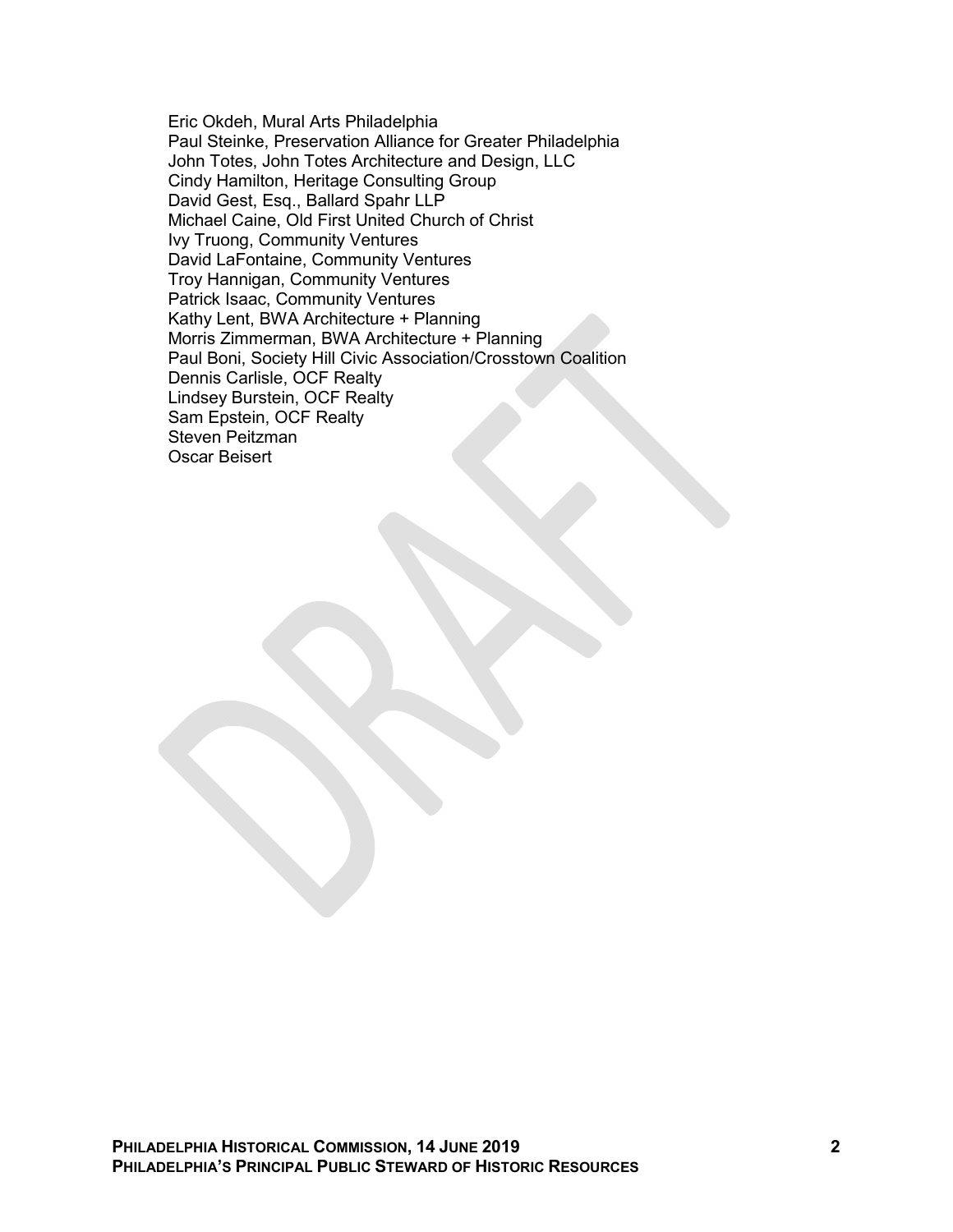Eric Okdeh, Mural Arts Philadelphia Paul Steinke, Preservation Alliance for Greater Philadelphia John Totes, John Totes Architecture and Design, LLC Cindy Hamilton, Heritage Consulting Group David Gest, Esq., Ballard Spahr LLP Michael Caine, Old First United Church of Christ Ivy Truong, Community Ventures David LaFontaine, Community Ventures Troy Hannigan, Community Ventures Patrick Isaac, Community Ventures Kathy Lent, BWA Architecture + Planning Morris Zimmerman, BWA Architecture + Planning Paul Boni, Society Hill Civic Association/Crosstown Coalition Dennis Carlisle, OCF Realty Lindsey Burstein, OCF Realty Sam Epstein, OCF Realty Steven Peitzman Oscar Beisert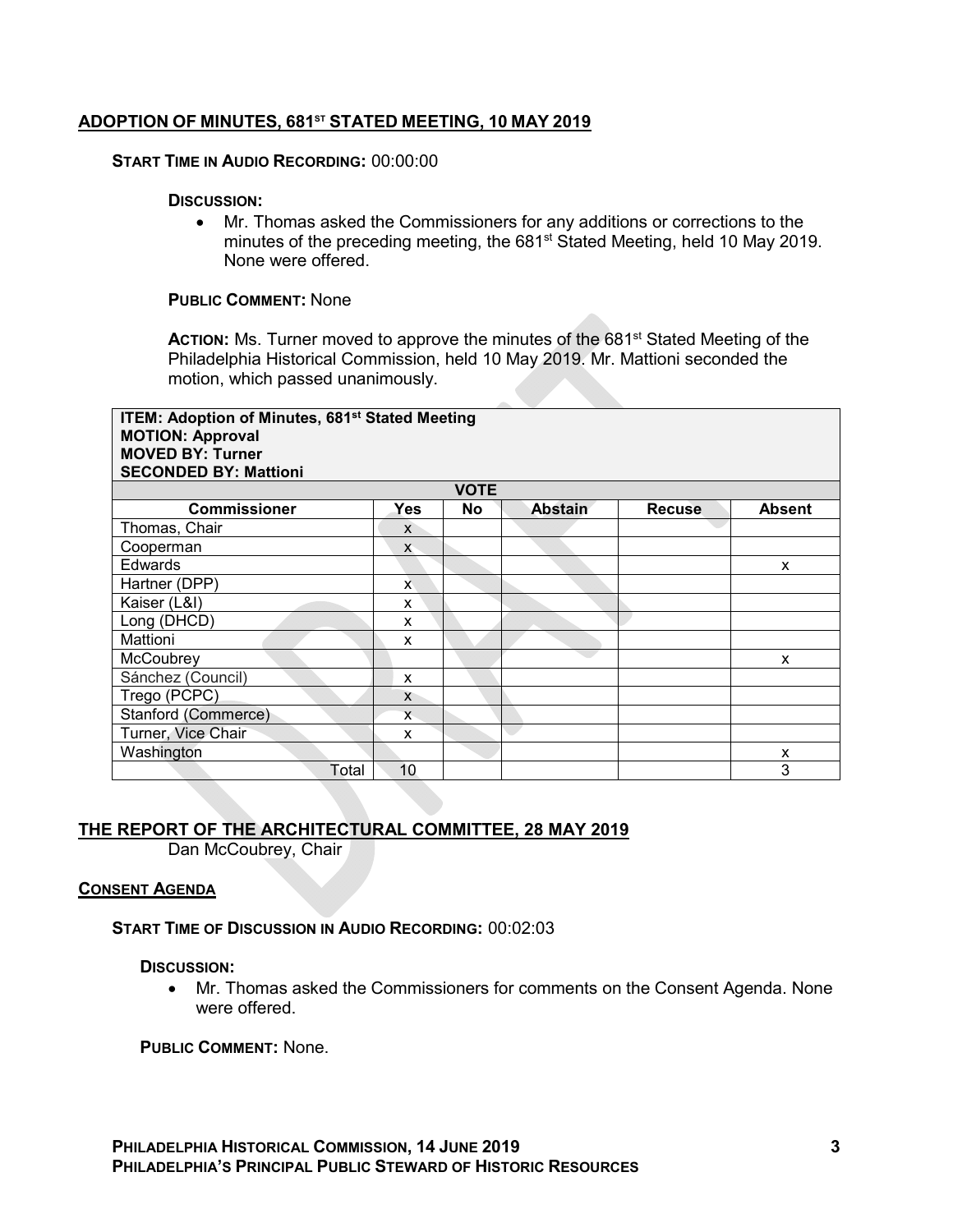## **ADOPTION OF MINUTES, 681ST STATED MEETING, 10 MAY 2019**

#### **START TIME IN AUDIO RECORDING:** 00:00:00

#### **DISCUSSION:**

 Mr. Thomas asked the Commissioners for any additions or corrections to the minutes of the preceding meeting, the 681<sup>st</sup> Stated Meeting, held 10 May 2019. None were offered.

### **PUBLIC COMMENT:** None

ACTION: Ms. Turner moved to approve the minutes of the 681<sup>st</sup> Stated Meeting of the Philadelphia Historical Commission, held 10 May 2019. Mr. Mattioni seconded the motion, which passed unanimously.

| <b>ITEM: Adoption of Minutes, 681st Stated Meeting</b><br><b>MOTION: Approval</b><br><b>MOVED BY: Turner</b><br><b>SECONDED BY: Mattioni</b> |              |             |                |               |               |  |  |
|----------------------------------------------------------------------------------------------------------------------------------------------|--------------|-------------|----------------|---------------|---------------|--|--|
|                                                                                                                                              |              | <b>VOTE</b> |                |               |               |  |  |
| <b>Commissioner</b>                                                                                                                          | Yes          | <b>No</b>   | <b>Abstain</b> | <b>Recuse</b> | <b>Absent</b> |  |  |
| Thomas, Chair                                                                                                                                | X            |             |                |               |               |  |  |
| Cooperman                                                                                                                                    | $\mathsf{X}$ |             |                |               |               |  |  |
| Edwards                                                                                                                                      |              |             |                |               | X             |  |  |
| Hartner (DPP)                                                                                                                                | X            |             |                |               |               |  |  |
| Kaiser (L&I)                                                                                                                                 | X            |             |                |               |               |  |  |
| Long (DHCD)                                                                                                                                  | X            |             |                |               |               |  |  |
| Mattioni                                                                                                                                     | X            |             |                |               |               |  |  |
| McCoubrey                                                                                                                                    |              |             |                |               | X             |  |  |
| Sánchez (Council)                                                                                                                            | X            |             |                |               |               |  |  |
| Trego (PCPC)                                                                                                                                 | X            |             |                |               |               |  |  |
| Stanford (Commerce)                                                                                                                          | $\mathsf{x}$ |             |                |               |               |  |  |
| Turner, Vice Chair                                                                                                                           | X            |             |                |               |               |  |  |
| Washington                                                                                                                                   |              |             |                |               | X             |  |  |
| Total                                                                                                                                        | 10           |             |                |               | 3             |  |  |

# **THE REPORT OF THE ARCHITECTURAL COMMITTEE, 28 MAY 2019**

Dan McCoubrey, Chair

#### **CONSENT AGENDA**

#### **START TIME OF DISCUSSION IN AUDIO RECORDING:** 00:02:03

## **DISCUSSION:**

 Mr. Thomas asked the Commissioners for comments on the Consent Agenda. None were offered.

**PUBLIC COMMENT:** None.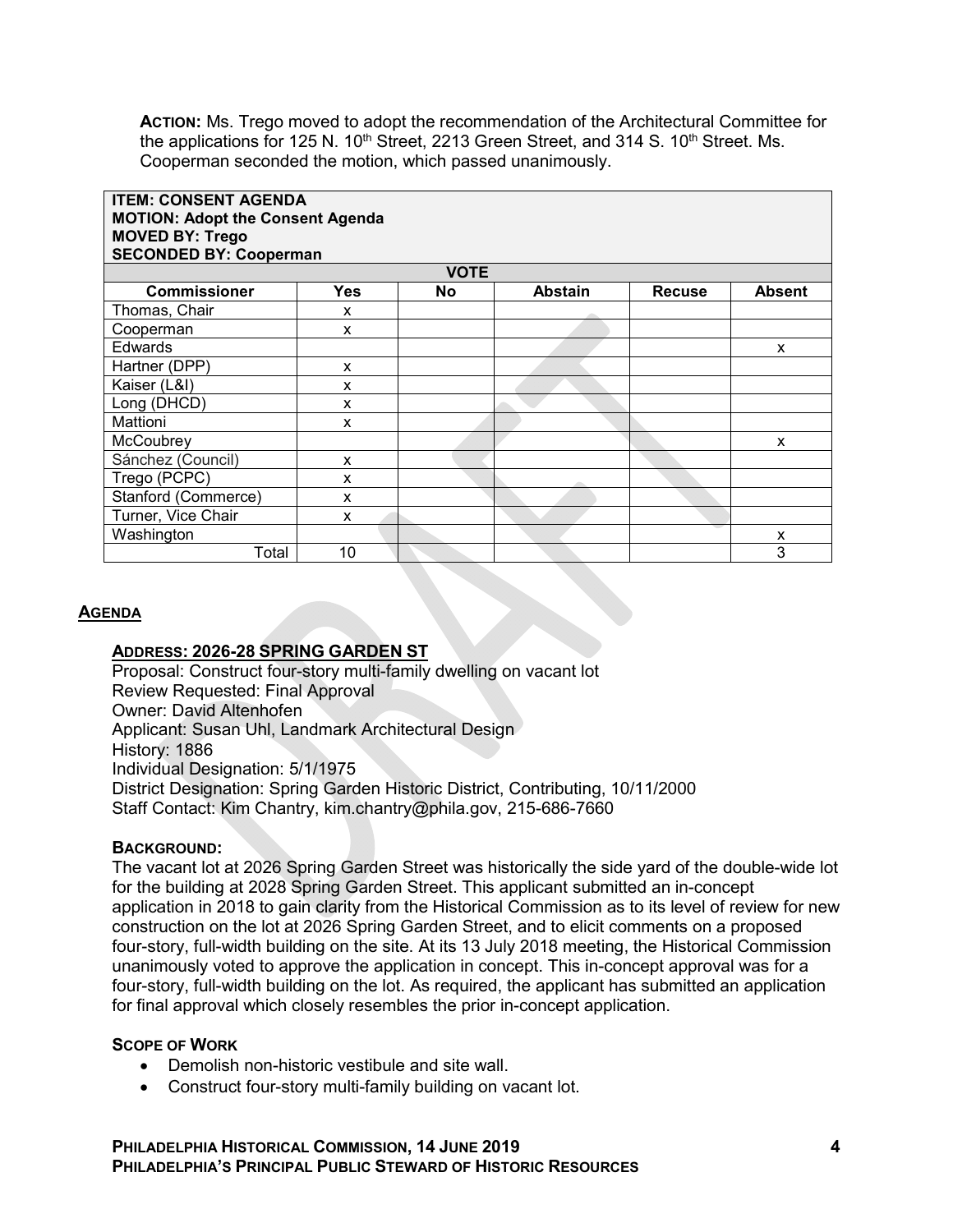**ACTION:** Ms. Trego moved to adopt the recommendation of the Architectural Committee for the applications for 125 N.  $10<sup>th</sup>$  Street, 2213 Green Street, and 314 S.  $10<sup>th</sup>$  Street. Ms. Cooperman seconded the motion, which passed unanimously.

| <b>ITEM: CONSENT AGENDA</b><br><b>MOTION: Adopt the Consent Agenda</b><br><b>MOVED BY: Trego</b><br><b>SECONDED BY: Cooperman</b> |     |             |                |               |               |  |  |  |
|-----------------------------------------------------------------------------------------------------------------------------------|-----|-------------|----------------|---------------|---------------|--|--|--|
|                                                                                                                                   |     | <b>VOTE</b> |                |               |               |  |  |  |
| <b>Commissioner</b>                                                                                                               | Yes | No          | <b>Abstain</b> | <b>Recuse</b> | <b>Absent</b> |  |  |  |
| Thomas, Chair                                                                                                                     | X   |             |                |               |               |  |  |  |
| Cooperman                                                                                                                         | x   |             |                |               |               |  |  |  |
| Edwards                                                                                                                           |     |             |                |               | X             |  |  |  |
| Hartner (DPP)                                                                                                                     | X   |             |                |               |               |  |  |  |
| Kaiser (L&I)                                                                                                                      | x   |             |                |               |               |  |  |  |
| Long (DHCD)                                                                                                                       | x   |             |                |               |               |  |  |  |
| Mattioni                                                                                                                          | x   |             |                |               |               |  |  |  |
| McCoubrey                                                                                                                         |     |             |                |               | X             |  |  |  |
| Sánchez (Council)                                                                                                                 | x   |             |                |               |               |  |  |  |
| Trego (PCPC)                                                                                                                      | x   |             |                |               |               |  |  |  |
| Stanford (Commerce)                                                                                                               | x   |             |                |               |               |  |  |  |
| Turner, Vice Chair                                                                                                                | x   |             |                |               |               |  |  |  |
| Washington                                                                                                                        |     |             |                |               | X             |  |  |  |
| Total                                                                                                                             | 10  |             |                |               | 3             |  |  |  |

#### **AGENDA**

### **ADDRESS: 2026-28 SPRING GARDEN ST**

Proposal: Construct four-story multi-family dwelling on vacant lot Review Requested: Final Approval Owner: David Altenhofen Applicant: Susan Uhl, Landmark Architectural Design History: 1886 Individual Designation: 5/1/1975 District Designation: Spring Garden Historic District, Contributing, 10/11/2000 Staff Contact: Kim Chantry, kim.chantry@phila.gov, 215-686-7660

#### **BACKGROUND:**

The vacant lot at 2026 Spring Garden Street was historically the side yard of the double-wide lot for the building at 2028 Spring Garden Street. This applicant submitted an in-concept application in 2018 to gain clarity from the Historical Commission as to its level of review for new construction on the lot at 2026 Spring Garden Street, and to elicit comments on a proposed four-story, full-width building on the site. At its 13 July 2018 meeting, the Historical Commission unanimously voted to approve the application in concept. This in-concept approval was for a four-story, full-width building on the lot. As required, the applicant has submitted an application for final approval which closely resembles the prior in-concept application.

#### **SCOPE OF WORK**

- Demolish non-historic vestibule and site wall.
- Construct four-story multi-family building on vacant lot.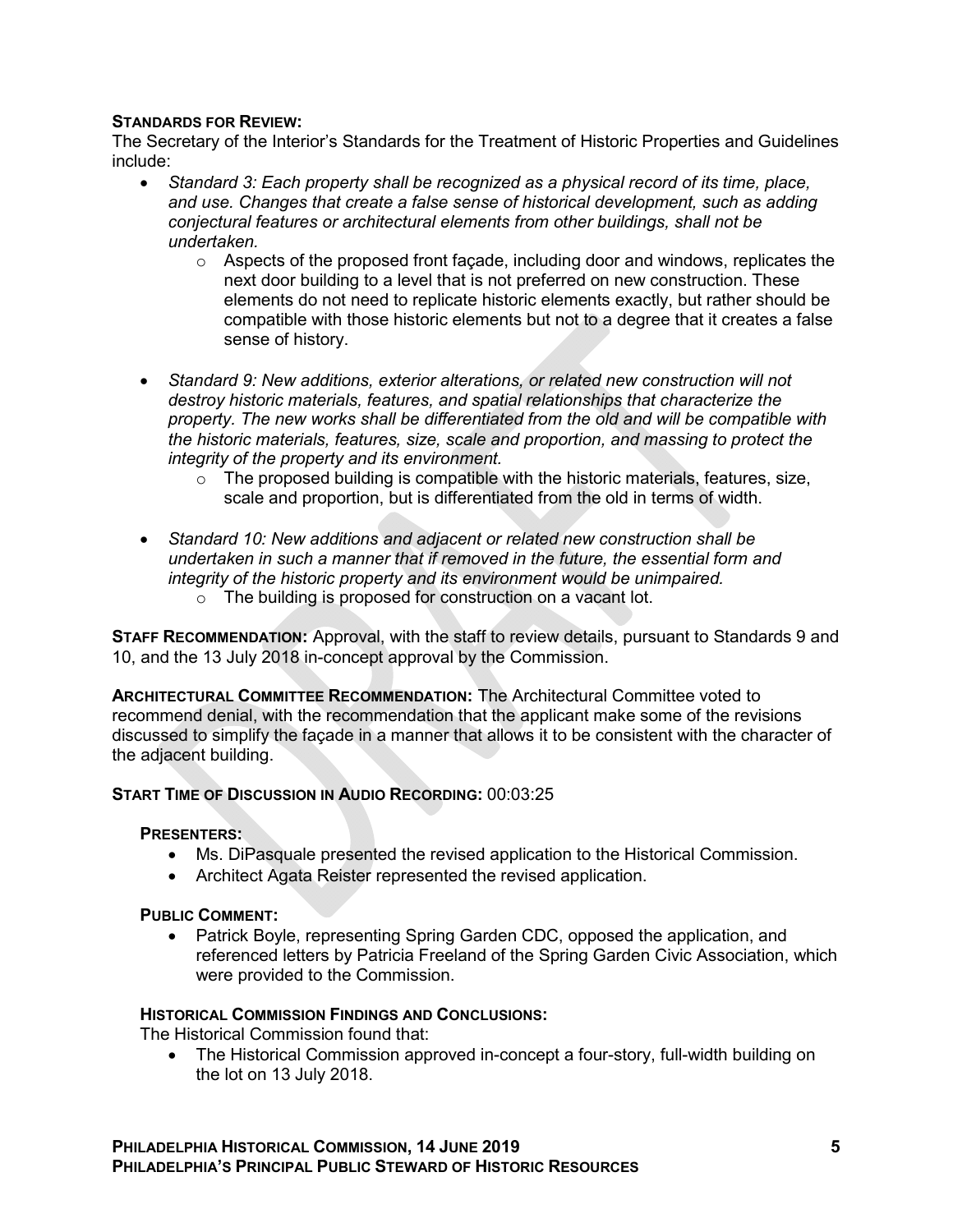## **STANDARDS FOR REVIEW:**

The Secretary of the Interior's Standards for the Treatment of Historic Properties and Guidelines include:

- *Standard 3: Each property shall be recognized as a physical record of its time, place, and use. Changes that create a false sense of historical development, such as adding conjectural features or architectural elements from other buildings, shall not be undertaken.*
	- $\circ$  Aspects of the proposed front façade, including door and windows, replicates the next door building to a level that is not preferred on new construction. These elements do not need to replicate historic elements exactly, but rather should be compatible with those historic elements but not to a degree that it creates a false sense of history.
- *Standard 9: New additions, exterior alterations, or related new construction will not destroy historic materials, features, and spatial relationships that characterize the property. The new works shall be differentiated from the old and will be compatible with the historic materials, features, size, scale and proportion, and massing to protect the integrity of the property and its environment.*
	- o The proposed building is compatible with the historic materials, features, size, scale and proportion, but is differentiated from the old in terms of width.
- *Standard 10: New additions and adjacent or related new construction shall be undertaken in such a manner that if removed in the future, the essential form and integrity of the historic property and its environment would be unimpaired.*   $\circ$  The building is proposed for construction on a vacant lot.

**STAFF RECOMMENDATION:** Approval, with the staff to review details, pursuant to Standards 9 and 10, and the 13 July 2018 in-concept approval by the Commission.

**ARCHITECTURAL COMMITTEE RECOMMENDATION:** The Architectural Committee voted to recommend denial, with the recommendation that the applicant make some of the revisions discussed to simplify the façade in a manner that allows it to be consistent with the character of the adjacent building.

## **START TIME OF DISCUSSION IN AUDIO RECORDING:** 00:03:25

#### **PRESENTERS:**

- Ms. DiPasquale presented the revised application to the Historical Commission.
- Architect Agata Reister represented the revised application.

#### **PUBLIC COMMENT:**

• Patrick Boyle, representing Spring Garden CDC, opposed the application, and referenced letters by Patricia Freeland of the Spring Garden Civic Association, which were provided to the Commission.

#### **HISTORICAL COMMISSION FINDINGS AND CONCLUSIONS:**

The Historical Commission found that:

 The Historical Commission approved in-concept a four-story, full-width building on the lot on 13 July 2018.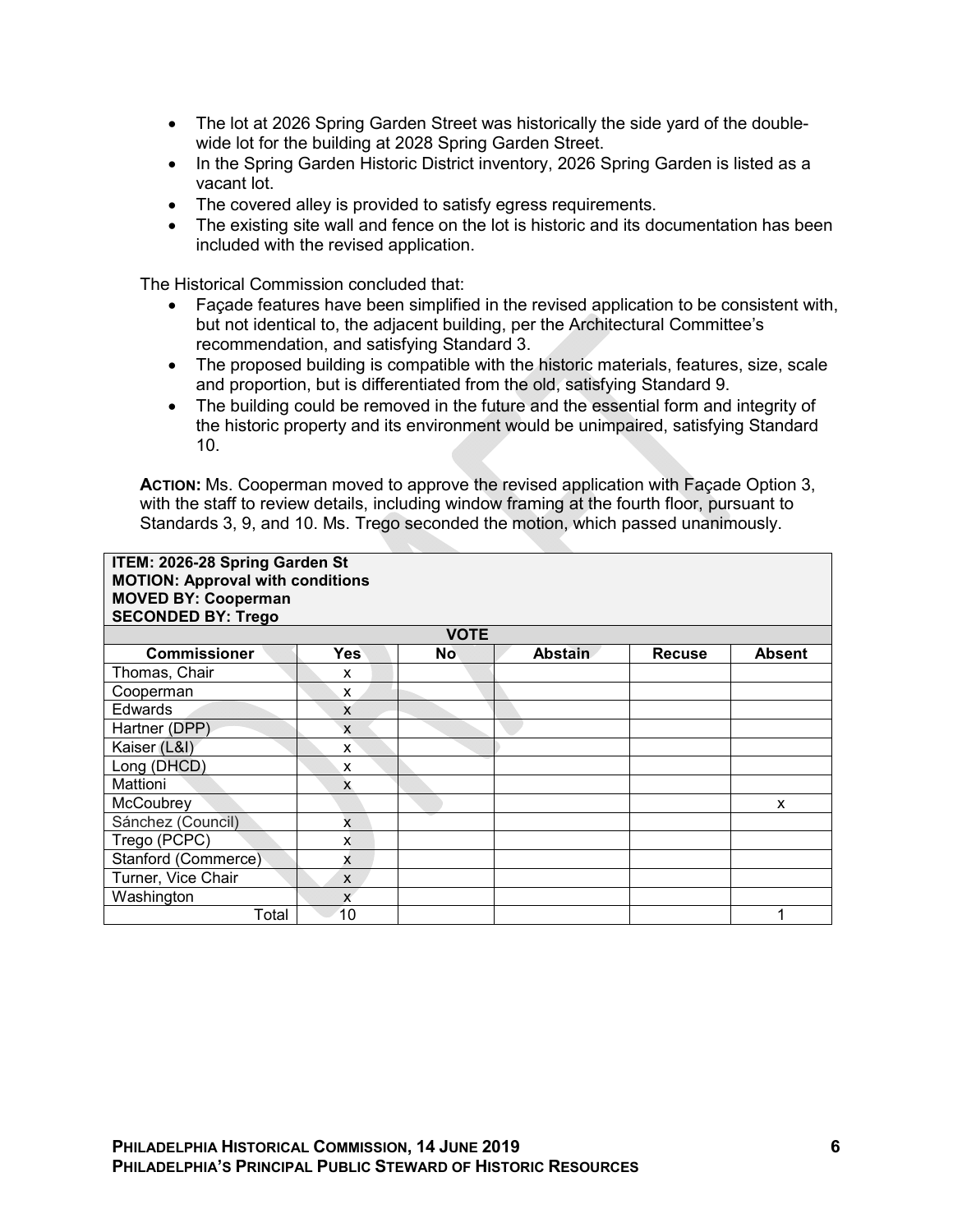- The lot at 2026 Spring Garden Street was historically the side yard of the doublewide lot for the building at 2028 Spring Garden Street.
- In the Spring Garden Historic District inventory, 2026 Spring Garden is listed as a vacant lot.
- The covered alley is provided to satisfy egress requirements.
- The existing site wall and fence on the lot is historic and its documentation has been included with the revised application.

The Historical Commission concluded that:

- Façade features have been simplified in the revised application to be consistent with, but not identical to, the adjacent building, per the Architectural Committee's recommendation, and satisfying Standard 3.
- The proposed building is compatible with the historic materials, features, size, scale and proportion, but is differentiated from the old, satisfying Standard 9.
- The building could be removed in the future and the essential form and integrity of the historic property and its environment would be unimpaired, satisfying Standard 10.

**ACTION:** Ms. Cooperman moved to approve the revised application with Façade Option 3, with the staff to review details, including window framing at the fourth floor, pursuant to Standards 3, 9, and 10. Ms. Trego seconded the motion, which passed unanimously.

| ITEM: 2026-28 Spring Garden St<br><b>MOTION: Approval with conditions</b><br><b>MOVED BY: Cooperman</b><br><b>SECONDED BY: Trego</b> |              |             |                |               |               |  |  |
|--------------------------------------------------------------------------------------------------------------------------------------|--------------|-------------|----------------|---------------|---------------|--|--|
|                                                                                                                                      |              | <b>VOTE</b> |                |               |               |  |  |
| <b>Commissioner</b>                                                                                                                  | <b>Yes</b>   | <b>No</b>   | <b>Abstain</b> | <b>Recuse</b> | <b>Absent</b> |  |  |
| Thomas, Chair                                                                                                                        | X            |             |                |               |               |  |  |
| Cooperman                                                                                                                            | X            |             |                |               |               |  |  |
| Edwards                                                                                                                              | X            |             |                |               |               |  |  |
| Hartner (DPP)                                                                                                                        | X            |             |                |               |               |  |  |
| Kaiser (L&I)                                                                                                                         | X            |             |                |               |               |  |  |
| Long (DHCD)                                                                                                                          | X            |             |                |               |               |  |  |
| Mattioni                                                                                                                             | X            |             |                |               |               |  |  |
| McCoubrey                                                                                                                            |              |             |                |               | X             |  |  |
| Sánchez (Council)                                                                                                                    | $\mathbf{x}$ |             |                |               |               |  |  |
| Trego (PCPC)                                                                                                                         | X            |             |                |               |               |  |  |
| Stanford (Commerce)                                                                                                                  | x            |             |                |               |               |  |  |
| Turner, Vice Chair                                                                                                                   | X            |             |                |               |               |  |  |
| Washington                                                                                                                           | $\mathsf{x}$ |             |                |               |               |  |  |
| Total                                                                                                                                | 10           |             |                |               |               |  |  |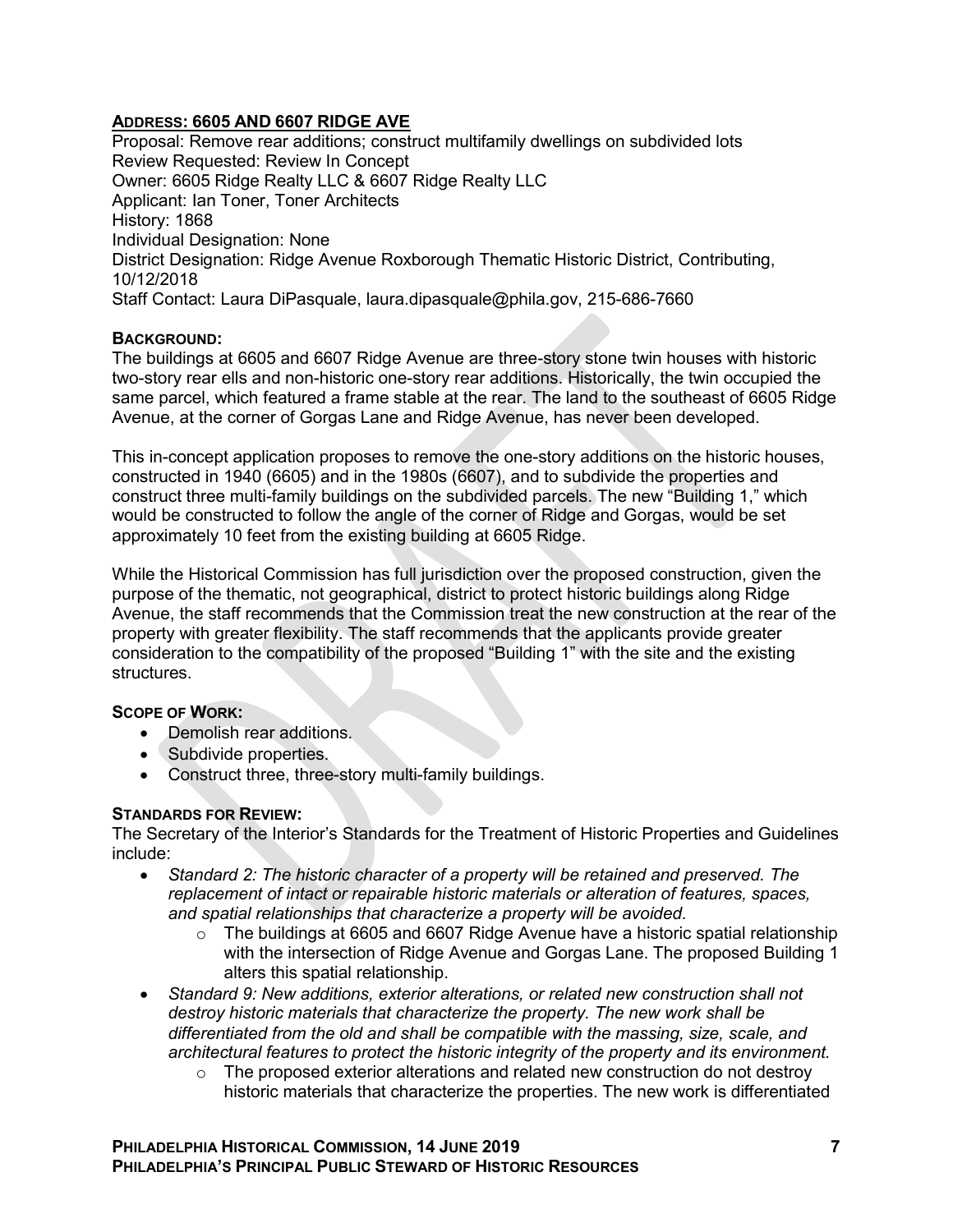# **ADDRESS: 6605 AND 6607 RIDGE AVE**

Proposal: Remove rear additions; construct multifamily dwellings on subdivided lots Review Requested: Review In Concept Owner: 6605 Ridge Realty LLC & 6607 Ridge Realty LLC Applicant: Ian Toner, Toner Architects History: 1868 Individual Designation: None District Designation: Ridge Avenue Roxborough Thematic Historic District, Contributing, 10/12/2018 Staff Contact: Laura DiPasquale, laura.dipasquale@phila.gov, 215-686-7660

## **BACKGROUND:**

The buildings at 6605 and 6607 Ridge Avenue are three-story stone twin houses with historic two-story rear ells and non-historic one-story rear additions. Historically, the twin occupied the same parcel, which featured a frame stable at the rear. The land to the southeast of 6605 Ridge Avenue, at the corner of Gorgas Lane and Ridge Avenue, has never been developed.

This in-concept application proposes to remove the one-story additions on the historic houses, constructed in 1940 (6605) and in the 1980s (6607), and to subdivide the properties and construct three multi-family buildings on the subdivided parcels. The new "Building 1," which would be constructed to follow the angle of the corner of Ridge and Gorgas, would be set approximately 10 feet from the existing building at 6605 Ridge.

While the Historical Commission has full jurisdiction over the proposed construction, given the purpose of the thematic, not geographical, district to protect historic buildings along Ridge Avenue, the staff recommends that the Commission treat the new construction at the rear of the property with greater flexibility. The staff recommends that the applicants provide greater consideration to the compatibility of the proposed "Building 1" with the site and the existing structures.

## **SCOPE OF WORK:**

- Demolish rear additions.
- Subdivide properties.
- Construct three, three-story multi-family buildings.

## **STANDARDS FOR REVIEW:**

The Secretary of the Interior's Standards for the Treatment of Historic Properties and Guidelines include:

- *Standard 2: The historic character of a property will be retained and preserved. The replacement of intact or repairable historic materials or alteration of features, spaces, and spatial relationships that characterize a property will be avoided.* 
	- $\circ$  The buildings at 6605 and 6607 Ridge Avenue have a historic spatial relationship with the intersection of Ridge Avenue and Gorgas Lane. The proposed Building 1 alters this spatial relationship.
- *Standard 9: New additions, exterior alterations, or related new construction shall not destroy historic materials that characterize the property. The new work shall be differentiated from the old and shall be compatible with the massing, size, scale, and architectural features to protect the historic integrity of the property and its environment.*
	- $\circ$  The proposed exterior alterations and related new construction do not destrov historic materials that characterize the properties. The new work is differentiated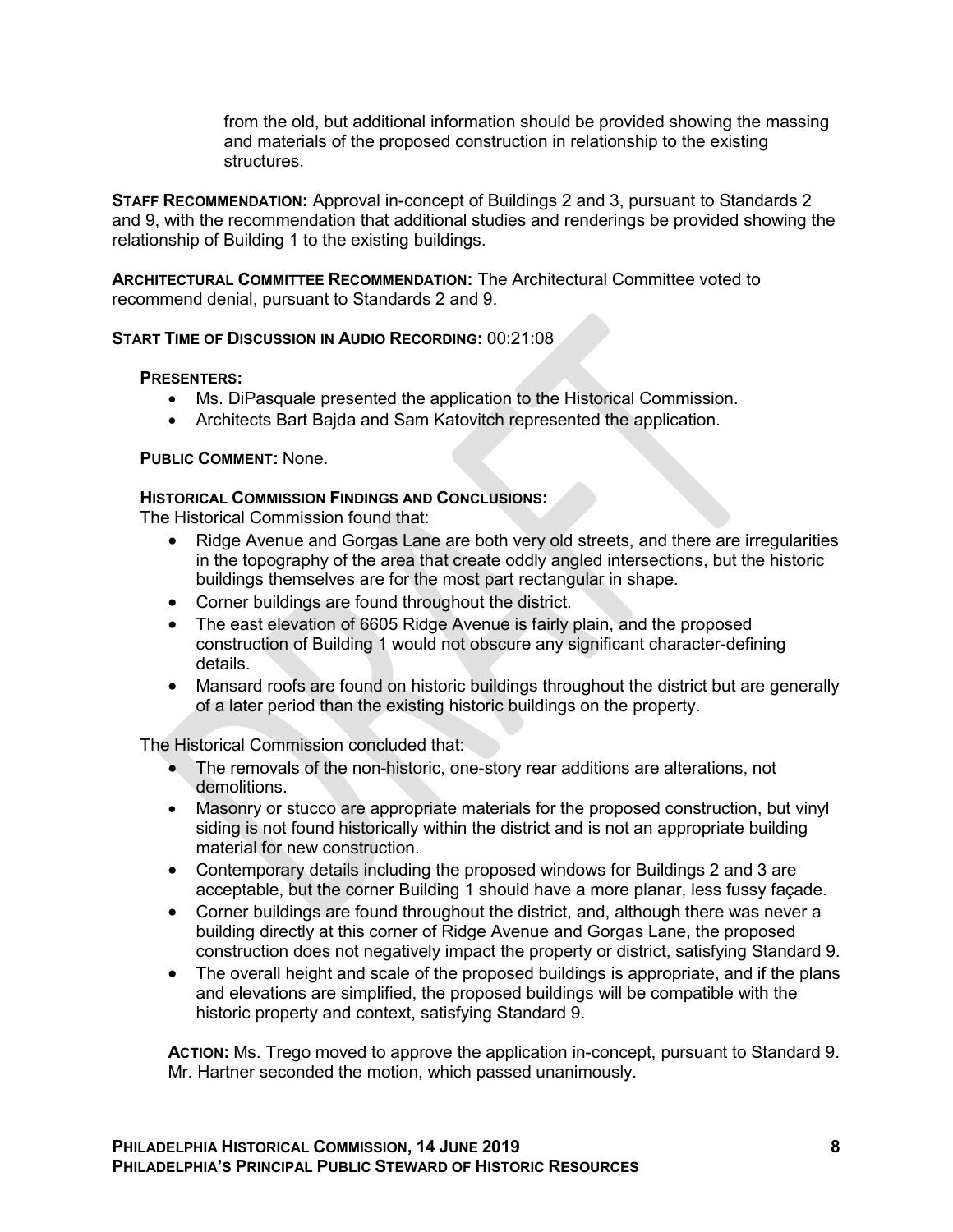from the old, but additional information should be provided showing the massing and materials of the proposed construction in relationship to the existing structures.

**STAFF RECOMMENDATION:** Approval in-concept of Buildings 2 and 3, pursuant to Standards 2 and 9, with the recommendation that additional studies and renderings be provided showing the relationship of Building 1 to the existing buildings.

**ARCHITECTURAL COMMITTEE RECOMMENDATION:** The Architectural Committee voted to recommend denial, pursuant to Standards 2 and 9.

## **START TIME OF DISCUSSION IN AUDIO RECORDING:** 00:21:08

#### **PRESENTERS:**

- Ms. DiPasquale presented the application to the Historical Commission.
- Architects Bart Bajda and Sam Katovitch represented the application.

#### **PUBLIC COMMENT:** None.

#### **HISTORICAL COMMISSION FINDINGS AND CONCLUSIONS:**

The Historical Commission found that:

- Ridge Avenue and Gorgas Lane are both very old streets, and there are irregularities in the topography of the area that create oddly angled intersections, but the historic buildings themselves are for the most part rectangular in shape.
- Corner buildings are found throughout the district.
- The east elevation of 6605 Ridge Avenue is fairly plain, and the proposed construction of Building 1 would not obscure any significant character-defining details.
- Mansard roofs are found on historic buildings throughout the district but are generally of a later period than the existing historic buildings on the property.

The Historical Commission concluded that:

- The removals of the non-historic, one-story rear additions are alterations, not demolitions.
- Masonry or stucco are appropriate materials for the proposed construction, but vinyl siding is not found historically within the district and is not an appropriate building material for new construction.
- Contemporary details including the proposed windows for Buildings 2 and 3 are acceptable, but the corner Building 1 should have a more planar, less fussy façade.
- Corner buildings are found throughout the district, and, although there was never a building directly at this corner of Ridge Avenue and Gorgas Lane, the proposed construction does not negatively impact the property or district, satisfying Standard 9.
- The overall height and scale of the proposed buildings is appropriate, and if the plans and elevations are simplified, the proposed buildings will be compatible with the historic property and context, satisfying Standard 9.

**ACTION:** Ms. Trego moved to approve the application in-concept, pursuant to Standard 9. Mr. Hartner seconded the motion, which passed unanimously.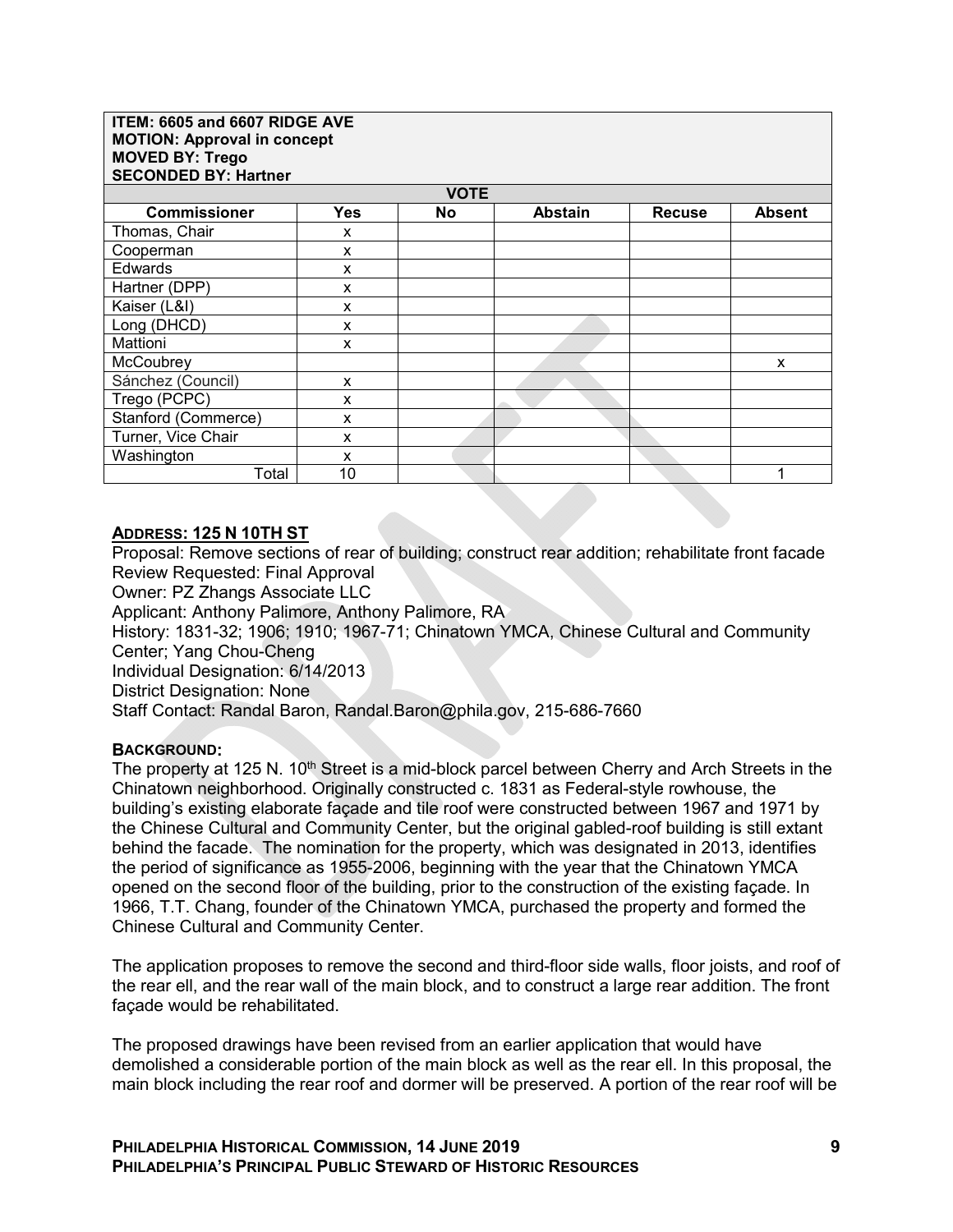**ITEM: 6605 and 6607 RIDGE AVE MOTION: Approval in concept MOVED BY: Trego SECONDED BY: Hartner**

| SECONDED BY: Hartner |            |    |                |               |               |  |  |  |  |
|----------------------|------------|----|----------------|---------------|---------------|--|--|--|--|
| <b>VOTE</b>          |            |    |                |               |               |  |  |  |  |
| <b>Commissioner</b>  | <b>Yes</b> | No | <b>Abstain</b> | <b>Recuse</b> | <b>Absent</b> |  |  |  |  |
| Thomas, Chair        | X          |    |                |               |               |  |  |  |  |
| Cooperman            | X          |    |                |               |               |  |  |  |  |
| Edwards              | X          |    |                |               |               |  |  |  |  |
| Hartner (DPP)        | x          |    |                |               |               |  |  |  |  |
| Kaiser (L&I)         | X          |    |                |               |               |  |  |  |  |
| Long (DHCD)          | X          |    |                |               |               |  |  |  |  |
| Mattioni             | x          |    |                |               |               |  |  |  |  |
| McCoubrey            |            |    |                |               | X             |  |  |  |  |
| Sánchez (Council)    | X          |    |                |               |               |  |  |  |  |
| Trego (PCPC)         | x          |    |                |               |               |  |  |  |  |
| Stanford (Commerce)  | X          |    |                |               |               |  |  |  |  |
| Turner, Vice Chair   | X          |    |                |               |               |  |  |  |  |
| Washington           | X          |    |                |               |               |  |  |  |  |
| Total                | 10         |    |                |               |               |  |  |  |  |

### **ADDRESS: 125 N 10TH ST**

Proposal: Remove sections of rear of building; construct rear addition; rehabilitate front facade Review Requested: Final Approval Owner: PZ Zhangs Associate LLC

Applicant: Anthony Palimore, Anthony Palimore, RA

History: 1831-32; 1906; 1910; 1967-71; Chinatown YMCA, Chinese Cultural and Community Center; Yang Chou-Cheng

Individual Designation: 6/14/2013

District Designation: None

Staff Contact: Randal Baron, Randal.Baron@phila.gov, 215-686-7660

#### **BACKGROUND:**

The property at 125 N.  $10<sup>th</sup>$  Street is a mid-block parcel between Cherry and Arch Streets in the Chinatown neighborhood. Originally constructed c. 1831 as Federal-style rowhouse, the building's existing elaborate façade and tile roof were constructed between 1967 and 1971 by the Chinese Cultural and Community Center, but the original gabled-roof building is still extant behind the facade. The nomination for the property, which was designated in 2013, identifies the period of significance as 1955-2006, beginning with the year that the Chinatown YMCA opened on the second floor of the building, prior to the construction of the existing façade. In 1966, T.T. Chang, founder of the Chinatown YMCA, purchased the property and formed the Chinese Cultural and Community Center.

The application proposes to remove the second and third-floor side walls, floor joists, and roof of the rear ell, and the rear wall of the main block, and to construct a large rear addition. The front façade would be rehabilitated.

The proposed drawings have been revised from an earlier application that would have demolished a considerable portion of the main block as well as the rear ell. In this proposal, the main block including the rear roof and dormer will be preserved. A portion of the rear roof will be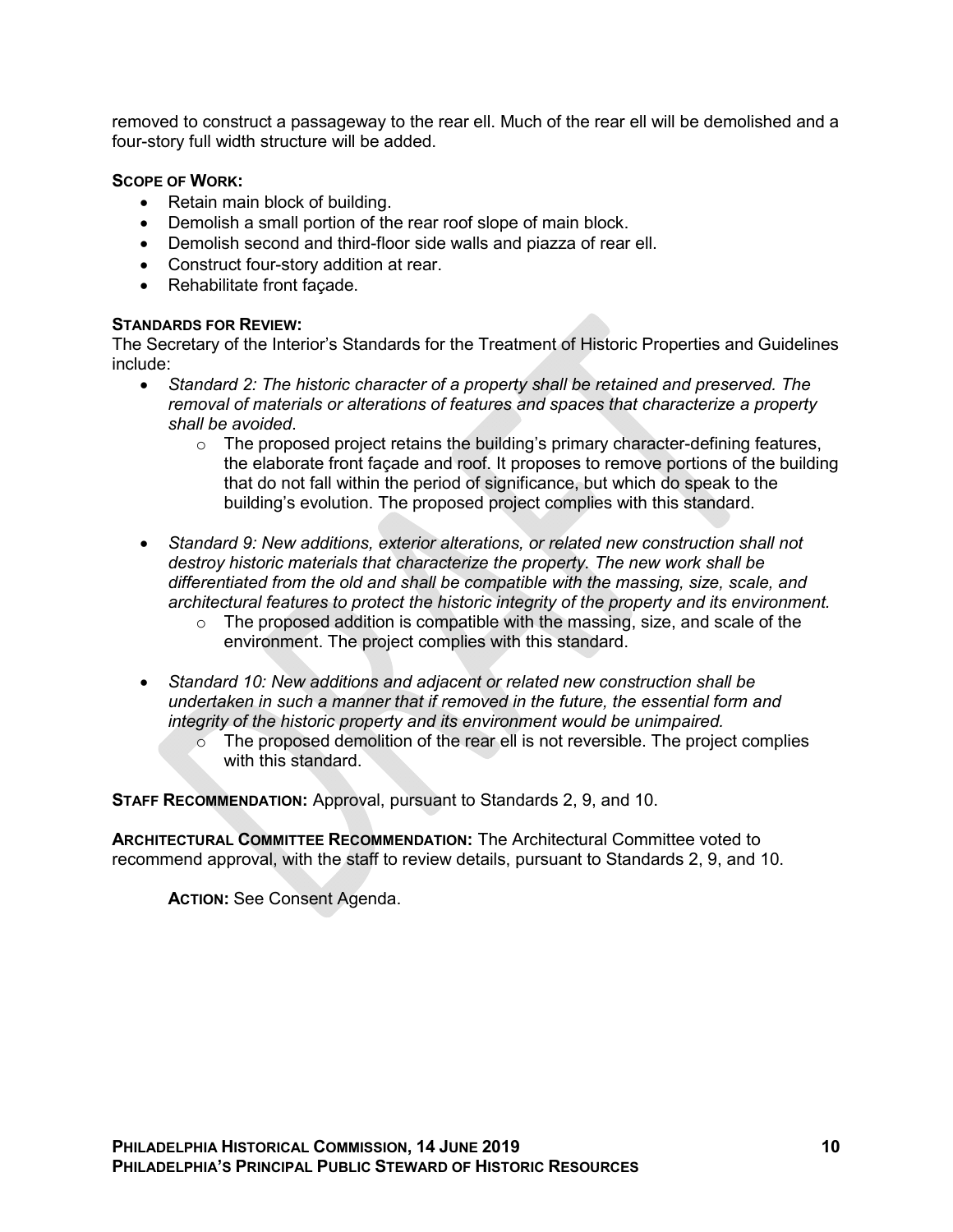removed to construct a passageway to the rear ell. Much of the rear ell will be demolished and a four-story full width structure will be added.

## **SCOPE OF WORK:**

- Retain main block of building.
- Demolish a small portion of the rear roof slope of main block.
- Demolish second and third-floor side walls and piazza of rear ell.
- Construct four-story addition at rear.
- Rehabilitate front façade.

## **STANDARDS FOR REVIEW:**

The Secretary of the Interior's Standards for the Treatment of Historic Properties and Guidelines include:

- *Standard 2: The historic character of a property shall be retained and preserved. The removal of materials or alterations of features and spaces that characterize a property shall be avoided*.
	- $\circ$  The proposed project retains the building's primary character-defining features, the elaborate front façade and roof. It proposes to remove portions of the building that do not fall within the period of significance, but which do speak to the building's evolution. The proposed project complies with this standard.
- *Standard 9: New additions, exterior alterations, or related new construction shall not destroy historic materials that characterize the property. The new work shall be differentiated from the old and shall be compatible with the massing, size, scale, and architectural features to protect the historic integrity of the property and its environment.*
	- $\circ$  The proposed addition is compatible with the massing, size, and scale of the environment. The project complies with this standard.
- *Standard 10: New additions and adjacent or related new construction shall be undertaken in such a manner that if removed in the future, the essential form and integrity of the historic property and its environment would be unimpaired.* 
	- $\circ$  The proposed demolition of the rear ell is not reversible. The project complies with this standard

**STAFF RECOMMENDATION:** Approval, pursuant to Standards 2, 9, and 10.

**ARCHITECTURAL COMMITTEE RECOMMENDATION:** The Architectural Committee voted to recommend approval, with the staff to review details, pursuant to Standards 2, 9, and 10.

**ACTION:** See Consent Agenda.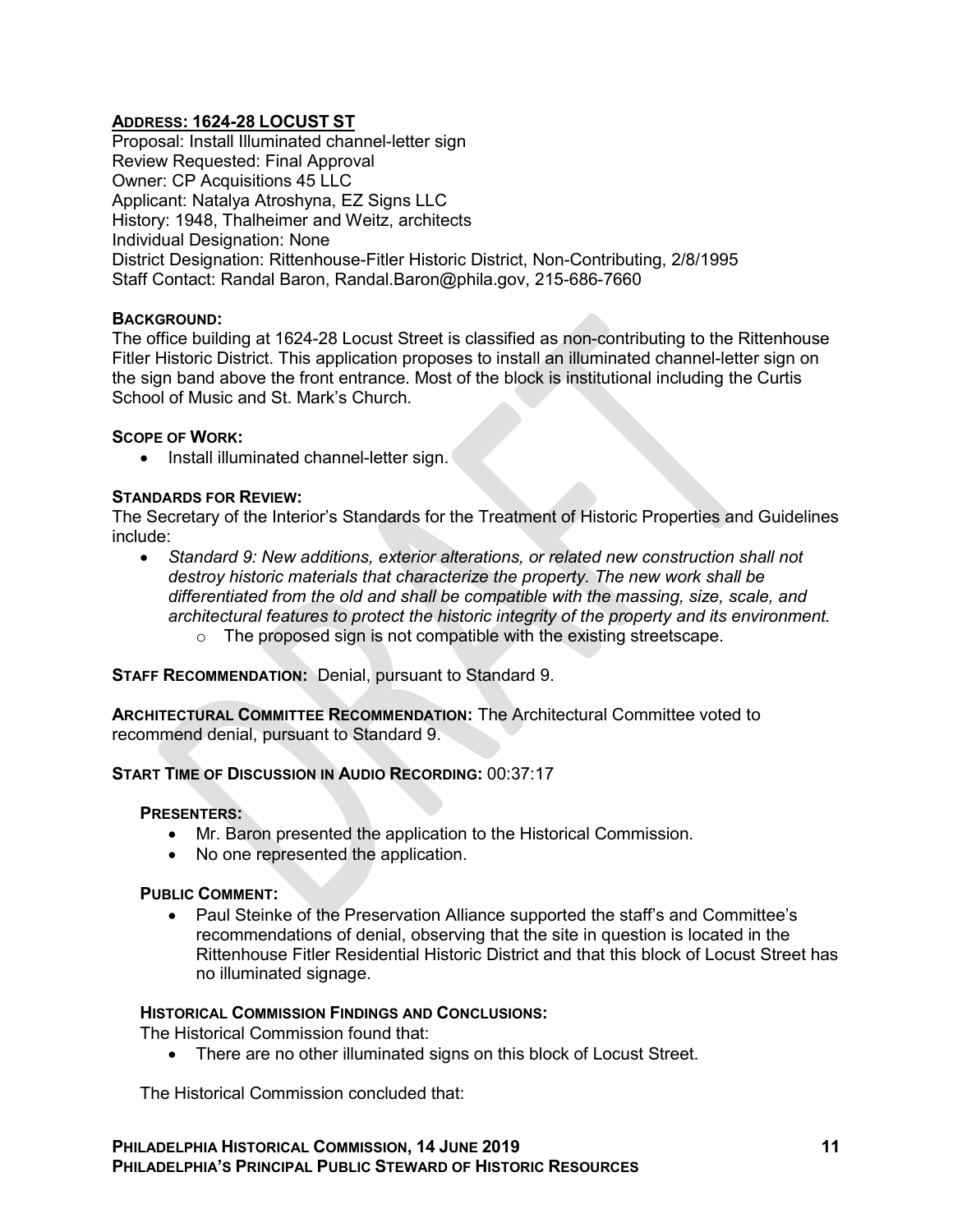# **ADDRESS: 1624-28 LOCUST ST**

Proposal: Install Illuminated channel-letter sign Review Requested: Final Approval Owner: CP Acquisitions 45 LLC Applicant: Natalya Atroshyna, EZ Signs LLC History: 1948, Thalheimer and Weitz, architects Individual Designation: None District Designation: Rittenhouse-Fitler Historic District, Non-Contributing, 2/8/1995 Staff Contact: Randal Baron, Randal.Baron@phila.gov, 215-686-7660

## **BACKGROUND:**

The office building at 1624-28 Locust Street is classified as non-contributing to the Rittenhouse Fitler Historic District. This application proposes to install an illuminated channel-letter sign on the sign band above the front entrance. Most of the block is institutional including the Curtis School of Music and St. Mark's Church.

#### **SCOPE OF WORK:**

 $\bullet$  Install illuminated channel-letter sign.

### **STANDARDS FOR REVIEW:**

The Secretary of the Interior's Standards for the Treatment of Historic Properties and Guidelines include:

 *Standard 9: New additions, exterior alterations, or related new construction shall not destroy historic materials that characterize the property. The new work shall be differentiated from the old and shall be compatible with the massing, size, scale, and architectural features to protect the historic integrity of the property and its environment.*  $\circ$  The proposed sign is not compatible with the existing streetscape.

**STAFF RECOMMENDATION:** Denial, pursuant to Standard 9.

**ARCHITECTURAL COMMITTEE RECOMMENDATION:** The Architectural Committee voted to recommend denial, pursuant to Standard 9.

## **START TIME OF DISCUSSION IN AUDIO RECORDING:** 00:37:17

## **PRESENTERS:**

- Mr. Baron presented the application to the Historical Commission.
- No one represented the application.

## **PUBLIC COMMENT:**

• Paul Steinke of the Preservation Alliance supported the staff's and Committee's recommendations of denial, observing that the site in question is located in the Rittenhouse Fitler Residential Historic District and that this block of Locust Street has no illuminated signage.

#### **HISTORICAL COMMISSION FINDINGS AND CONCLUSIONS:**

The Historical Commission found that:

• There are no other illuminated signs on this block of Locust Street.

The Historical Commission concluded that: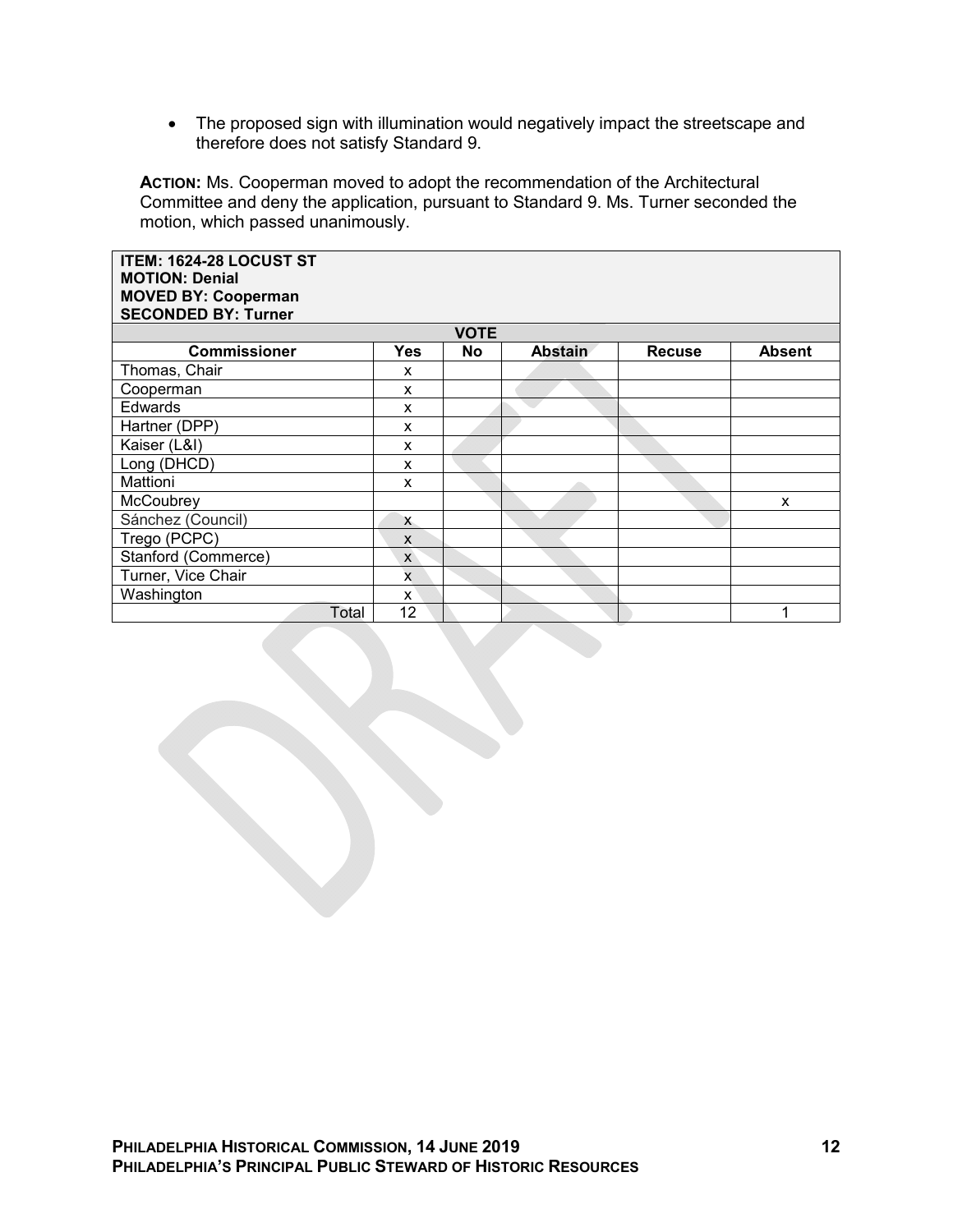• The proposed sign with illumination would negatively impact the streetscape and therefore does not satisfy Standard 9.

**ACTION:** Ms. Cooperman moved to adopt the recommendation of the Architectural Committee and deny the application, pursuant to Standard 9. Ms. Turner seconded the motion, which passed unanimously.

| ITEM: 1624-28 LOCUST ST<br><b>MOTION: Denial</b><br><b>MOVED BY: Cooperman</b><br><b>SECONDED BY: Turner</b> |                         |             |                |               |               |
|--------------------------------------------------------------------------------------------------------------|-------------------------|-------------|----------------|---------------|---------------|
|                                                                                                              |                         | <b>VOTE</b> |                |               |               |
| <b>Commissioner</b>                                                                                          | Yes                     | <b>No</b>   | <b>Abstain</b> | <b>Recuse</b> | <b>Absent</b> |
| Thomas, Chair                                                                                                | X                       |             |                |               |               |
| Cooperman                                                                                                    | X                       |             |                |               |               |
| Edwards                                                                                                      | X                       |             |                |               |               |
| Hartner (DPP)                                                                                                | X                       |             |                |               |               |
| Kaiser (L&I)                                                                                                 | X                       |             |                |               |               |
| Long (DHCD)                                                                                                  | X                       |             |                |               |               |
| Mattioni                                                                                                     | X                       |             |                |               |               |
| McCoubrey                                                                                                    |                         |             |                |               | X             |
| Sánchez (Council)                                                                                            | $\mathsf{x}$            |             |                |               |               |
| Trego (PCPC)                                                                                                 | X                       |             |                |               |               |
| Stanford (Commerce)                                                                                          | $\mathsf{x}$            |             |                |               |               |
| Turner, Vice Chair                                                                                           | $\overline{\mathsf{x}}$ |             |                |               |               |
| Washington                                                                                                   | x                       |             |                |               |               |
| Total                                                                                                        | 12                      |             |                |               |               |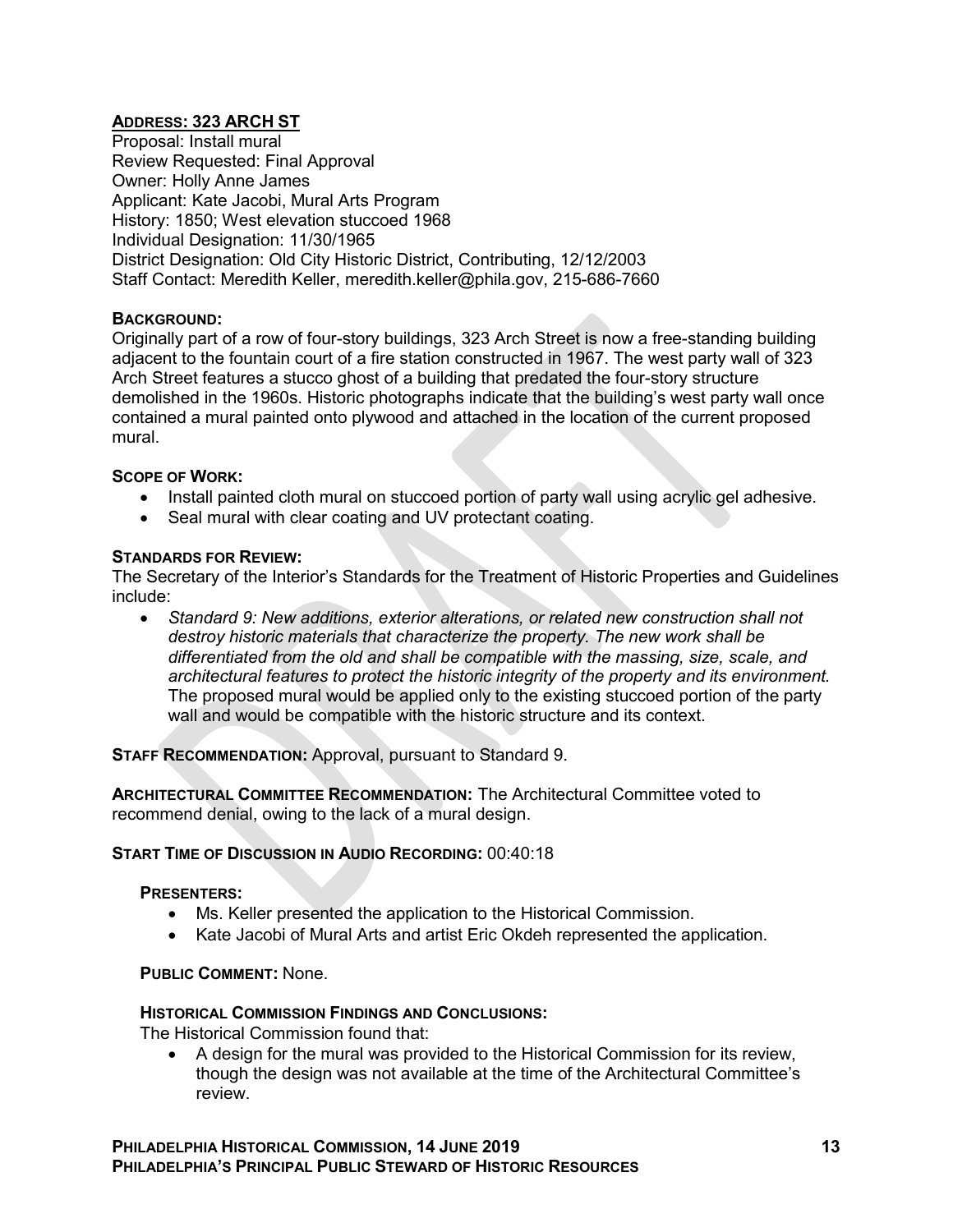## **ADDRESS: 323 ARCH ST**

Proposal: Install mural Review Requested: Final Approval Owner: Holly Anne James Applicant: Kate Jacobi, Mural Arts Program History: 1850; West elevation stuccoed 1968 Individual Designation: 11/30/1965 District Designation: Old City Historic District, Contributing, 12/12/2003 Staff Contact: Meredith Keller, meredith.keller@phila.gov, 215-686-7660

### **BACKGROUND:**

Originally part of a row of four-story buildings, 323 Arch Street is now a free-standing building adjacent to the fountain court of a fire station constructed in 1967. The west party wall of 323 Arch Street features a stucco ghost of a building that predated the four-story structure demolished in the 1960s. Historic photographs indicate that the building's west party wall once contained a mural painted onto plywood and attached in the location of the current proposed mural.

#### **SCOPE OF WORK:**

- Install painted cloth mural on stuccoed portion of party wall using acrylic gel adhesive.
- Seal mural with clear coating and UV protectant coating.

### **STANDARDS FOR REVIEW:**

The Secretary of the Interior's Standards for the Treatment of Historic Properties and Guidelines include:

 *Standard 9: New additions, exterior alterations, or related new construction shall not destroy historic materials that characterize the property. The new work shall be differentiated from the old and shall be compatible with the massing, size, scale, and architectural features to protect the historic integrity of the property and its environment.* The proposed mural would be applied only to the existing stuccoed portion of the party wall and would be compatible with the historic structure and its context.

**STAFF RECOMMENDATION:** Approval, pursuant to Standard 9.

**ARCHITECTURAL COMMITTEE RECOMMENDATION:** The Architectural Committee voted to recommend denial, owing to the lack of a mural design.

#### **START TIME OF DISCUSSION IN AUDIO RECORDING:** 00:40:18

#### **PRESENTERS:**

- Ms. Keller presented the application to the Historical Commission.
- Kate Jacobi of Mural Arts and artist Eric Okdeh represented the application.

**PUBLIC COMMENT:** None.

#### **HISTORICAL COMMISSION FINDINGS AND CONCLUSIONS:**

The Historical Commission found that:

 A design for the mural was provided to the Historical Commission for its review, though the design was not available at the time of the Architectural Committee's review.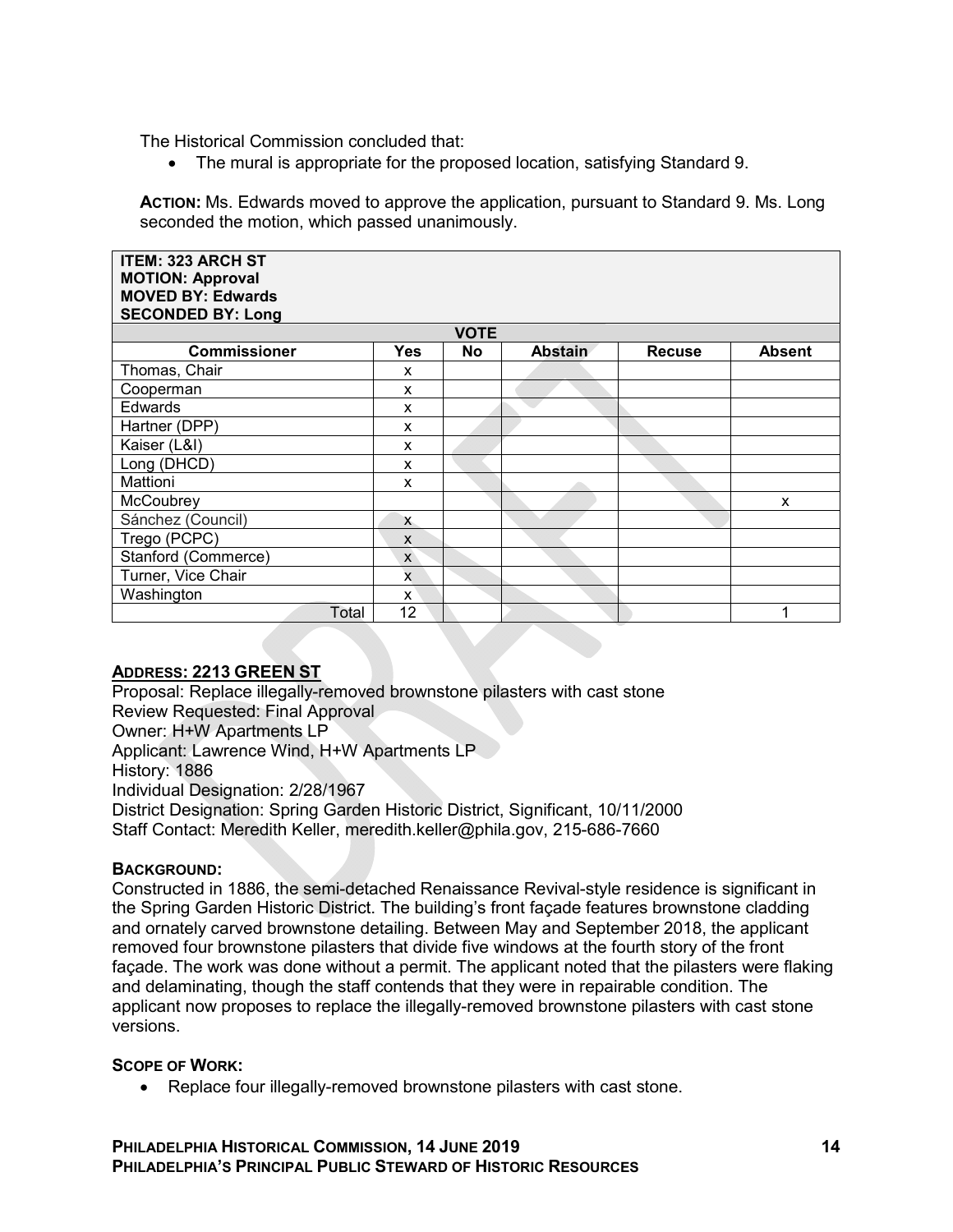The Historical Commission concluded that:

• The mural is appropriate for the proposed location, satisfying Standard 9.

**ACTION:** Ms. Edwards moved to approve the application, pursuant to Standard 9. Ms. Long seconded the motion, which passed unanimously.

| <b>ITEM: 323 ARCH ST</b><br><b>MOTION: Approval</b><br><b>MOVED BY: Edwards</b><br><b>SECONDED BY: Long</b> |              |             |                |               |               |
|-------------------------------------------------------------------------------------------------------------|--------------|-------------|----------------|---------------|---------------|
|                                                                                                             |              | <b>VOTE</b> |                |               |               |
| <b>Commissioner</b>                                                                                         | <b>Yes</b>   | No          | <b>Abstain</b> | <b>Recuse</b> | <b>Absent</b> |
| Thomas, Chair                                                                                               | X            |             |                |               |               |
| Cooperman                                                                                                   | X            |             |                |               |               |
| Edwards                                                                                                     | X            |             |                |               |               |
| Hartner (DPP)                                                                                               | X            |             |                |               |               |
| Kaiser (L&I)                                                                                                | X            |             |                |               |               |
| Long (DHCD)                                                                                                 | X            |             |                |               |               |
| Mattioni                                                                                                    | x            |             |                |               |               |
| McCoubrey                                                                                                   |              |             |                |               | X             |
| Sánchez (Council)                                                                                           | $\mathsf{x}$ |             |                |               |               |
| Trego (PCPC)                                                                                                | X            |             |                |               |               |
| Stanford (Commerce)                                                                                         | X            |             |                |               |               |
| Turner, Vice Chair                                                                                          | <b>x</b>     |             |                |               |               |
| Washington                                                                                                  | x            |             |                |               |               |
| Total                                                                                                       | 12           |             |                |               |               |

# **ADDRESS: 2213 GREEN ST**

Proposal: Replace illegally-removed brownstone pilasters with cast stone Review Requested: Final Approval Owner: H+W Apartments LP Applicant: Lawrence Wind, H+W Apartments LP History: 1886 Individual Designation: 2/28/1967 District Designation: Spring Garden Historic District, Significant, 10/11/2000 Staff Contact: Meredith Keller, meredith.keller@phila.gov, 215-686-7660

## **BACKGROUND:**

Constructed in 1886, the semi-detached Renaissance Revival-style residence is significant in the Spring Garden Historic District. The building's front façade features brownstone cladding and ornately carved brownstone detailing. Between May and September 2018, the applicant removed four brownstone pilasters that divide five windows at the fourth story of the front façade. The work was done without a permit. The applicant noted that the pilasters were flaking and delaminating, though the staff contends that they were in repairable condition. The applicant now proposes to replace the illegally-removed brownstone pilasters with cast stone versions.

#### **SCOPE OF WORK:**

Replace four illegally-removed brownstone pilasters with cast stone.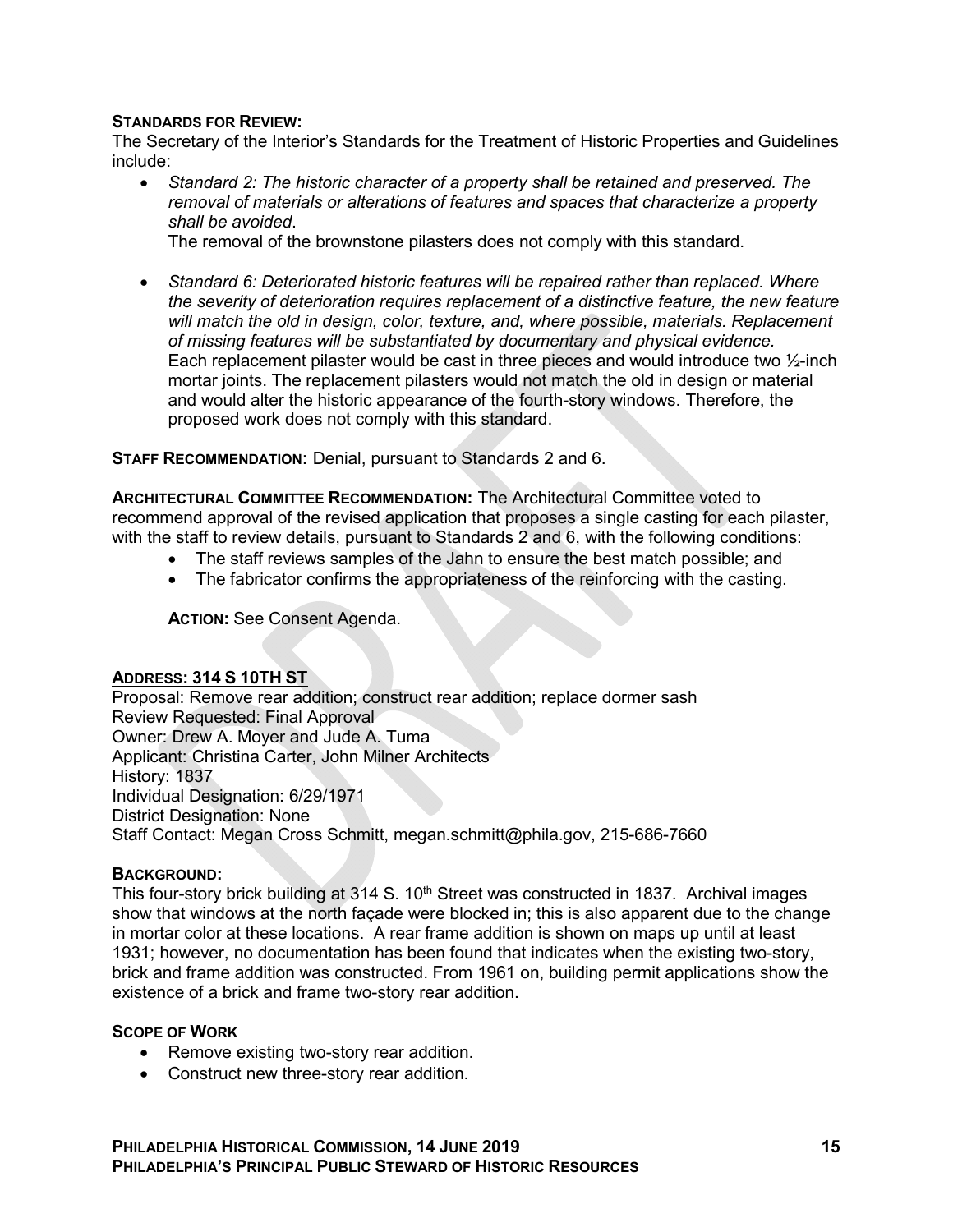## **STANDARDS FOR REVIEW:**

The Secretary of the Interior's Standards for the Treatment of Historic Properties and Guidelines include:

 *Standard 2: The historic character of a property shall be retained and preserved. The removal of materials or alterations of features and spaces that characterize a property shall be avoided*.

The removal of the brownstone pilasters does not comply with this standard.

 *Standard 6: Deteriorated historic features will be repaired rather than replaced. Where the severity of deterioration requires replacement of a distinctive feature, the new feature*  will match the old in design, color, texture, and, where possible, materials. Replacement *of missing features will be substantiated by documentary and physical evidence.* Each replacement pilaster would be cast in three pieces and would introduce two ½-inch mortar joints. The replacement pilasters would not match the old in design or material and would alter the historic appearance of the fourth-story windows. Therefore, the proposed work does not comply with this standard.

**STAFF RECOMMENDATION:** Denial, pursuant to Standards 2 and 6.

**ARCHITECTURAL COMMITTEE RECOMMENDATION:** The Architectural Committee voted to recommend approval of the revised application that proposes a single casting for each pilaster, with the staff to review details, pursuant to Standards 2 and 6, with the following conditions:

- The staff reviews samples of the Jahn to ensure the best match possible; and
- The fabricator confirms the appropriateness of the reinforcing with the casting.

**ACTION:** See Consent Agenda.

#### **ADDRESS: 314 S 10TH ST**

Proposal: Remove rear addition; construct rear addition; replace dormer sash Review Requested: Final Approval Owner: Drew A. Moyer and Jude A. Tuma Applicant: Christina Carter, John Milner Architects History: 1837 Individual Designation: 6/29/1971 District Designation: None Staff Contact: Megan Cross Schmitt, megan.schmitt@phila.gov, 215-686-7660

#### **BACKGROUND:**

This four-story brick building at 314 S. 10<sup>th</sup> Street was constructed in 1837. Archival images show that windows at the north façade were blocked in; this is also apparent due to the change in mortar color at these locations. A rear frame addition is shown on maps up until at least 1931; however, no documentation has been found that indicates when the existing two-story, brick and frame addition was constructed. From 1961 on, building permit applications show the existence of a brick and frame two-story rear addition.

#### **SCOPE OF WORK**

- Remove existing two-story rear addition.
- Construct new three-story rear addition.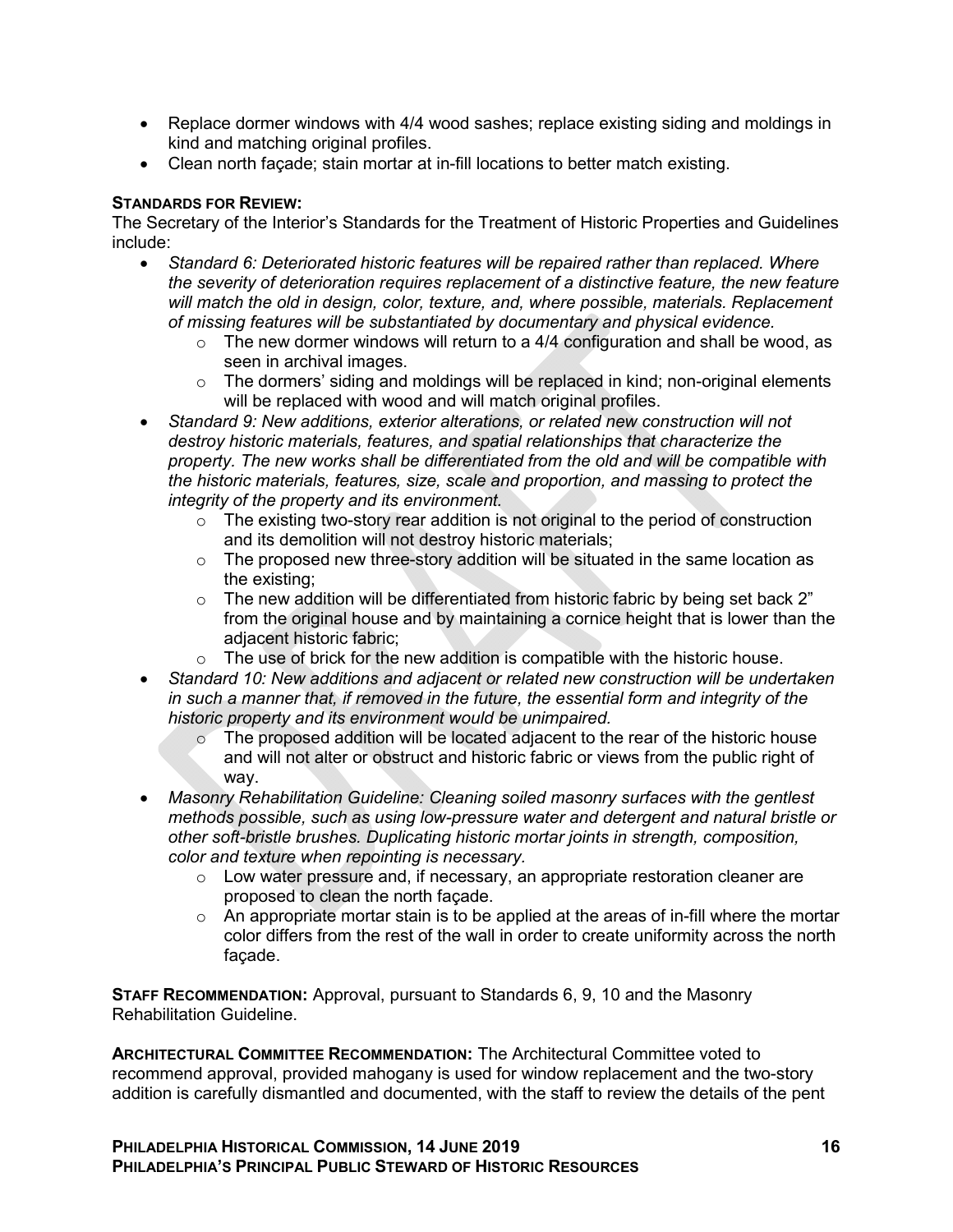- Replace dormer windows with 4/4 wood sashes; replace existing siding and moldings in kind and matching original profiles.
- Clean north façade; stain mortar at in-fill locations to better match existing.

## **STANDARDS FOR REVIEW:**

The Secretary of the Interior's Standards for the Treatment of Historic Properties and Guidelines include:

- *Standard 6: Deteriorated historic features will be repaired rather than replaced. Where the severity of deterioration requires replacement of a distinctive feature, the new feature*  will match the old in design, color, texture, and, where possible, materials. Replacement *of missing features will be substantiated by documentary and physical evidence.*
	- $\circ$  The new dormer windows will return to a 4/4 configuration and shall be wood, as seen in archival images.
	- $\circ$  The dormers' siding and moldings will be replaced in kind; non-original elements will be replaced with wood and will match original profiles.
- *Standard 9: New additions, exterior alterations, or related new construction will not destroy historic materials, features, and spatial relationships that characterize the property. The new works shall be differentiated from the old and will be compatible with the historic materials, features, size, scale and proportion, and massing to protect the integrity of the property and its environment.*
	- $\circ$  The existing two-story rear addition is not original to the period of construction and its demolition will not destroy historic materials;
	- $\circ$  The proposed new three-story addition will be situated in the same location as the existing;
	- $\circ$  The new addition will be differentiated from historic fabric by being set back 2" from the original house and by maintaining a cornice height that is lower than the adjacent historic fabric;
	- $\circ$  The use of brick for the new addition is compatible with the historic house.
- *Standard 10: New additions and adjacent or related new construction will be undertaken in such a manner that, if removed in the future, the essential form and integrity of the historic property and its environment would be unimpaired.*
	- $\circ$  The proposed addition will be located adjacent to the rear of the historic house and will not alter or obstruct and historic fabric or views from the public right of way.
- *Masonry Rehabilitation Guideline: Cleaning soiled masonry surfaces with the gentlest methods possible, such as using low-pressure water and detergent and natural bristle or other soft-bristle brushes. Duplicating historic mortar joints in strength, composition, color and texture when repointing is necessary.*
	- o Low water pressure and, if necessary, an appropriate restoration cleaner are proposed to clean the north façade.
	- $\circ$  An appropriate mortar stain is to be applied at the areas of in-fill where the mortar color differs from the rest of the wall in order to create uniformity across the north façade.

**STAFF RECOMMENDATION:** Approval, pursuant to Standards 6, 9, 10 and the Masonry Rehabilitation Guideline.

**ARCHITECTURAL COMMITTEE RECOMMENDATION:** The Architectural Committee voted to recommend approval, provided mahogany is used for window replacement and the two-story addition is carefully dismantled and documented, with the staff to review the details of the pent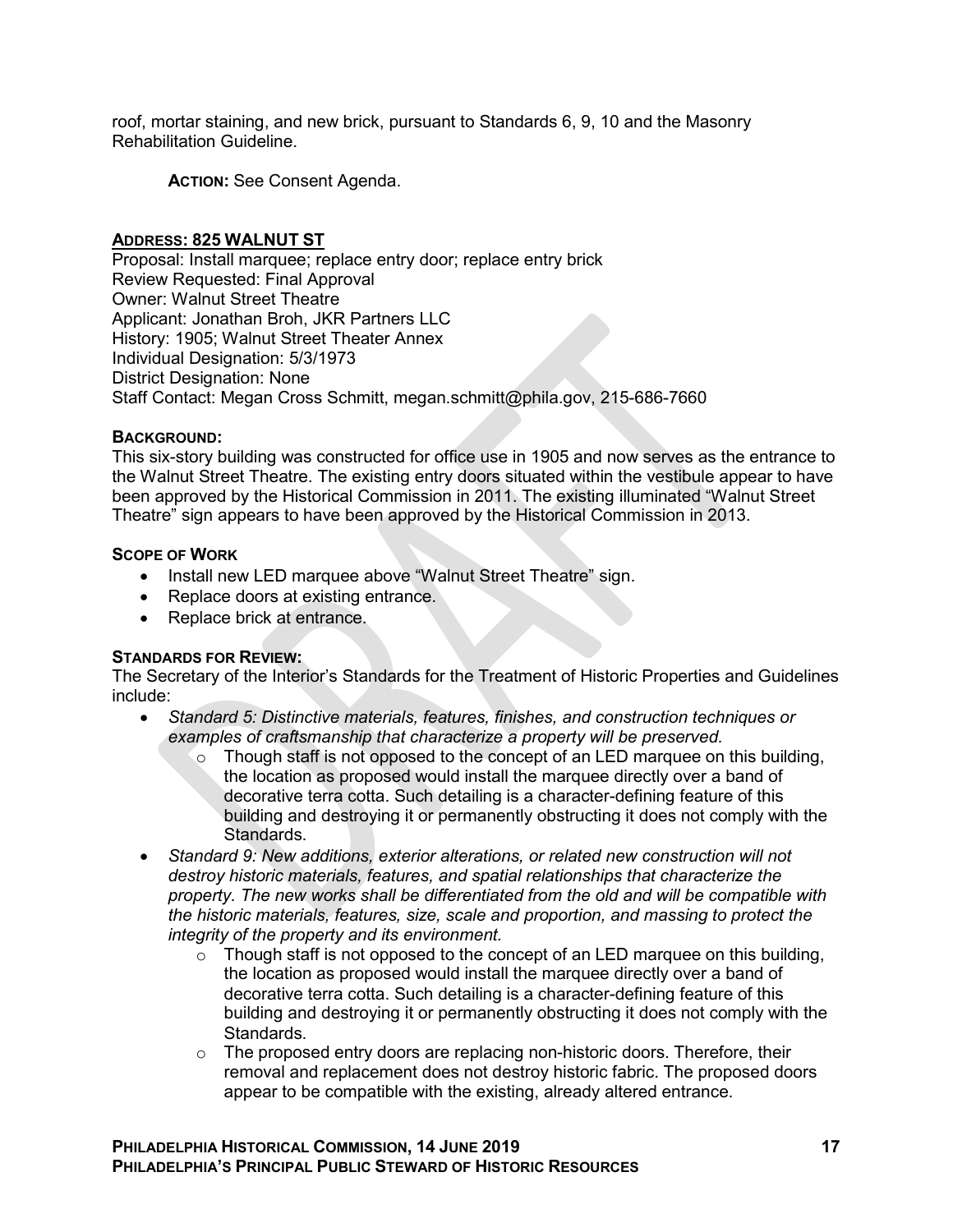roof, mortar staining, and new brick, pursuant to Standards 6, 9, 10 and the Masonry Rehabilitation Guideline.

**ACTION:** See Consent Agenda.

### **ADDRESS: 825 WALNUT ST**

Proposal: Install marquee; replace entry door; replace entry brick Review Requested: Final Approval Owner: Walnut Street Theatre Applicant: Jonathan Broh, JKR Partners LLC History: 1905; Walnut Street Theater Annex Individual Designation: 5/3/1973 District Designation: None Staff Contact: Megan Cross Schmitt, megan.schmitt@phila.gov, 215-686-7660

### **BACKGROUND:**

This six-story building was constructed for office use in 1905 and now serves as the entrance to the Walnut Street Theatre. The existing entry doors situated within the vestibule appear to have been approved by the Historical Commission in 2011. The existing illuminated "Walnut Street Theatre" sign appears to have been approved by the Historical Commission in 2013.

### **SCOPE OF WORK**

- Install new LED marquee above "Walnut Street Theatre" sign.
- Replace doors at existing entrance.
- Replace brick at entrance.

## **STANDARDS FOR REVIEW:**

The Secretary of the Interior's Standards for the Treatment of Historic Properties and Guidelines include:

- *Standard 5: Distinctive materials, features, finishes, and construction techniques or examples of craftsmanship that characterize a property will be preserved.*
	- $\circ$  Though staff is not opposed to the concept of an LED marquee on this building, the location as proposed would install the marquee directly over a band of decorative terra cotta. Such detailing is a character-defining feature of this building and destroying it or permanently obstructing it does not comply with the Standards.
- *Standard 9: New additions, exterior alterations, or related new construction will not destroy historic materials, features, and spatial relationships that characterize the property. The new works shall be differentiated from the old and will be compatible with the historic materials, features, size, scale and proportion, and massing to protect the integrity of the property and its environment.*
	- $\circ$  Though staff is not opposed to the concept of an LED marquee on this building, the location as proposed would install the marquee directly over a band of decorative terra cotta. Such detailing is a character-defining feature of this building and destroying it or permanently obstructing it does not comply with the Standards.
	- o The proposed entry doors are replacing non-historic doors. Therefore, their removal and replacement does not destroy historic fabric. The proposed doors appear to be compatible with the existing, already altered entrance.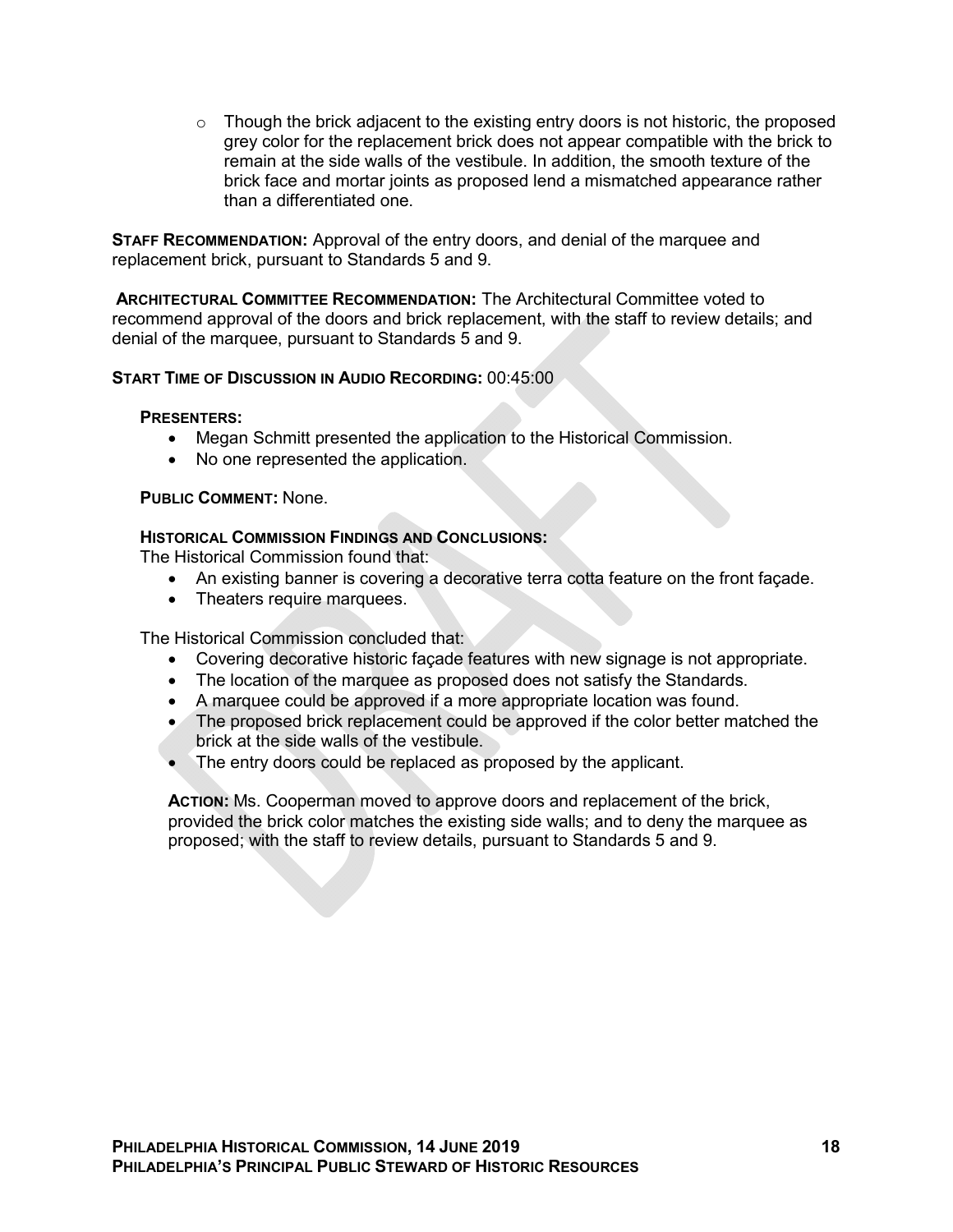$\circ$  Though the brick adjacent to the existing entry doors is not historic, the proposed grey color for the replacement brick does not appear compatible with the brick to remain at the side walls of the vestibule. In addition, the smooth texture of the brick face and mortar joints as proposed lend a mismatched appearance rather than a differentiated one.

**STAFF RECOMMENDATION:** Approval of the entry doors, and denial of the marquee and replacement brick, pursuant to Standards 5 and 9.

**ARCHITECTURAL COMMITTEE RECOMMENDATION:** The Architectural Committee voted to recommend approval of the doors and brick replacement, with the staff to review details; and denial of the marquee, pursuant to Standards 5 and 9.

## **START TIME OF DISCUSSION IN AUDIO RECORDING:** 00:45:00

#### **PRESENTERS:**

- Megan Schmitt presented the application to the Historical Commission.
- No one represented the application.

### **PUBLIC COMMENT:** None.

### **HISTORICAL COMMISSION FINDINGS AND CONCLUSIONS:**

The Historical Commission found that:

- An existing banner is covering a decorative terra cotta feature on the front façade.
- Theaters require marquees.

The Historical Commission concluded that:

- Covering decorative historic façade features with new signage is not appropriate.
- The location of the marquee as proposed does not satisfy the Standards.
- A marquee could be approved if a more appropriate location was found.
- The proposed brick replacement could be approved if the color better matched the brick at the side walls of the vestibule.
- The entry doors could be replaced as proposed by the applicant.

**ACTION:** Ms. Cooperman moved to approve doors and replacement of the brick, provided the brick color matches the existing side walls; and to deny the marquee as proposed; with the staff to review details, pursuant to Standards 5 and 9.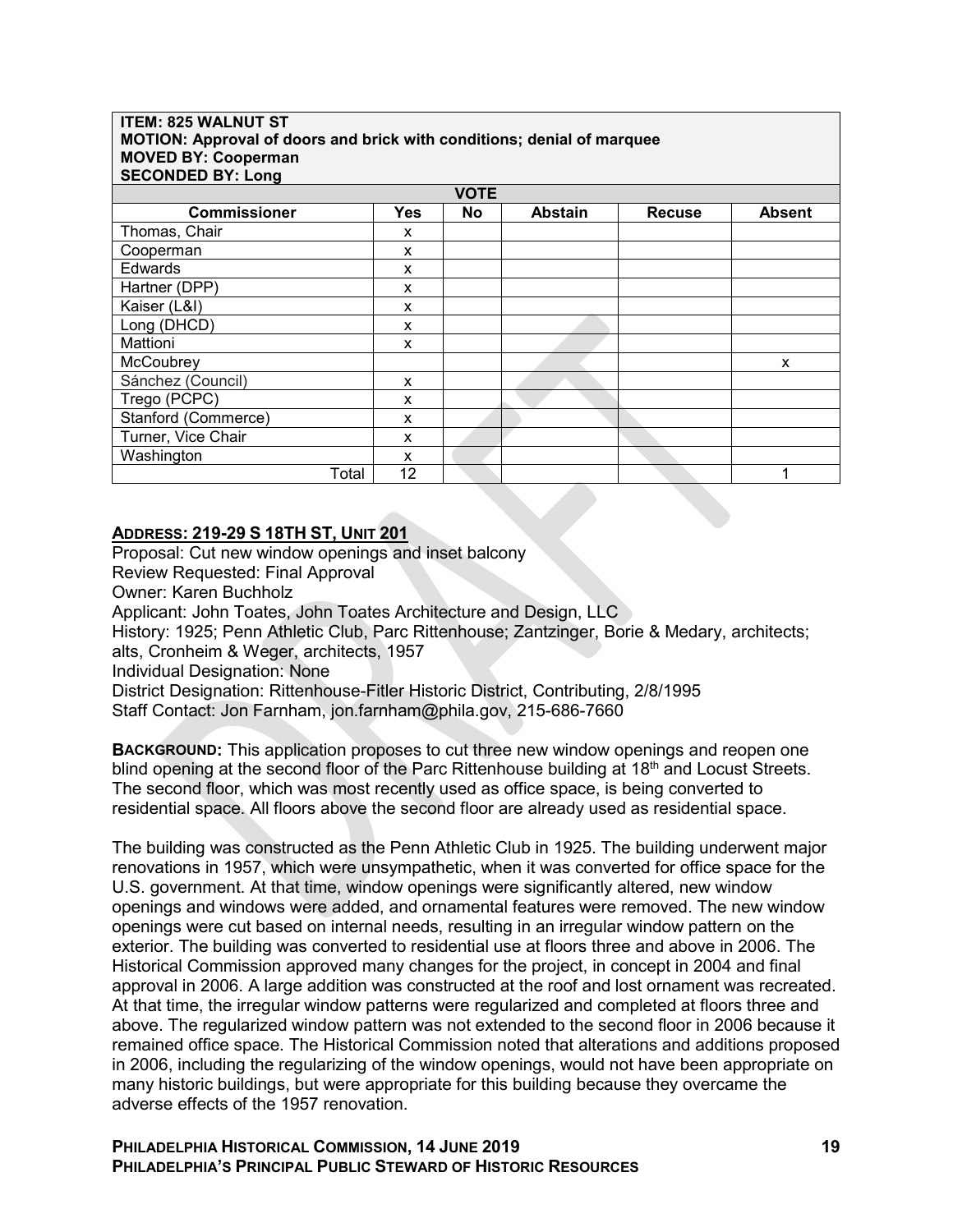#### **ITEM: 825 WALNUT ST MOTION: Approval of doors and brick with conditions; denial of marquee MOVED BY: Cooperman SECONDED BY: Long**

| <b>VOTE</b>         |            |    |                |               |               |  |  |
|---------------------|------------|----|----------------|---------------|---------------|--|--|
|                     |            |    |                |               |               |  |  |
| <b>Commissioner</b> | <b>Yes</b> | No | <b>Abstain</b> | <b>Recuse</b> | <b>Absent</b> |  |  |
| Thomas, Chair       | X          |    |                |               |               |  |  |
| Cooperman           | X          |    |                |               |               |  |  |
| Edwards             | X          |    |                |               |               |  |  |
| Hartner (DPP)       | X          |    |                |               |               |  |  |
| Kaiser (L&I)        | X          |    |                |               |               |  |  |
| Long (DHCD)         | X          |    |                |               |               |  |  |
| Mattioni            | X          |    |                |               |               |  |  |
| McCoubrey           |            |    |                |               | X             |  |  |
| Sánchez (Council)   | X          |    |                |               |               |  |  |
| Trego (PCPC)        | x          |    |                |               |               |  |  |
| Stanford (Commerce) | X          |    |                |               |               |  |  |
| Turner, Vice Chair  | x          |    |                |               |               |  |  |
| Washington          | X          |    |                |               |               |  |  |
| Total               | 12         |    |                |               |               |  |  |

# **ADDRESS: 219-29 S 18TH ST, UNIT 201**

Proposal: Cut new window openings and inset balcony Review Requested: Final Approval Owner: Karen Buchholz Applicant: John Toates, John Toates Architecture and Design, LLC History: 1925; Penn Athletic Club, Parc Rittenhouse; Zantzinger, Borie & Medary, architects; alts, Cronheim & Weger, architects, 1957 Individual Designation: None District Designation: Rittenhouse-Fitler Historic District, Contributing, 2/8/1995 Staff Contact: Jon Farnham, jon.farnham@phila.gov, 215-686-7660

**BACKGROUND:** This application proposes to cut three new window openings and reopen one blind opening at the second floor of the Parc Rittenhouse building at 18<sup>th</sup> and Locust Streets. The second floor, which was most recently used as office space, is being converted to residential space. All floors above the second floor are already used as residential space.

The building was constructed as the Penn Athletic Club in 1925. The building underwent major renovations in 1957, which were unsympathetic, when it was converted for office space for the U.S. government. At that time, window openings were significantly altered, new window openings and windows were added, and ornamental features were removed. The new window openings were cut based on internal needs, resulting in an irregular window pattern on the exterior. The building was converted to residential use at floors three and above in 2006. The Historical Commission approved many changes for the project, in concept in 2004 and final approval in 2006. A large addition was constructed at the roof and lost ornament was recreated. At that time, the irregular window patterns were regularized and completed at floors three and above. The regularized window pattern was not extended to the second floor in 2006 because it remained office space. The Historical Commission noted that alterations and additions proposed in 2006, including the regularizing of the window openings, would not have been appropriate on many historic buildings, but were appropriate for this building because they overcame the adverse effects of the 1957 renovation.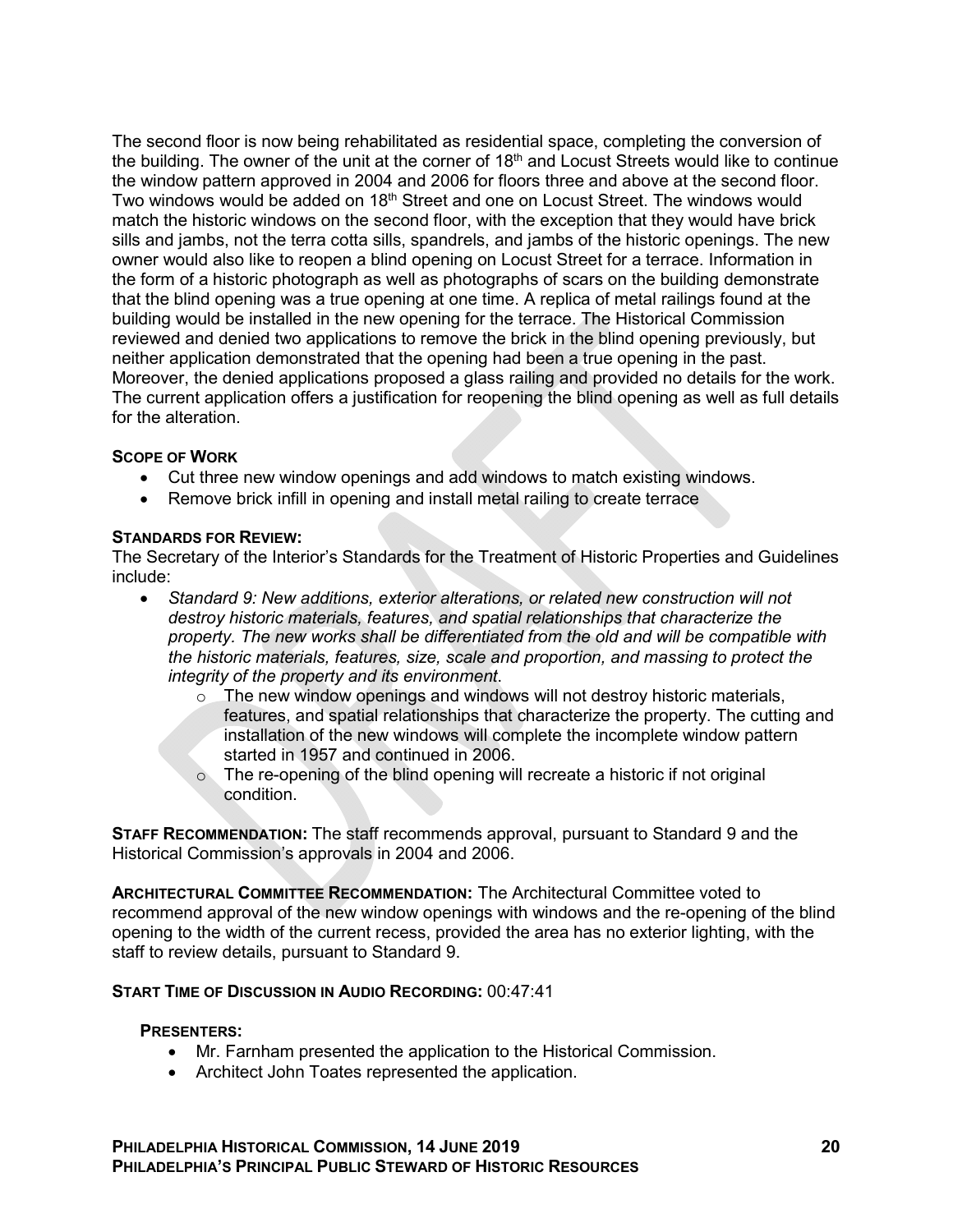The second floor is now being rehabilitated as residential space, completing the conversion of the building. The owner of the unit at the corner of 18<sup>th</sup> and Locust Streets would like to continue the window pattern approved in 2004 and 2006 for floors three and above at the second floor. Two windows would be added on 18<sup>th</sup> Street and one on Locust Street. The windows would match the historic windows on the second floor, with the exception that they would have brick sills and jambs, not the terra cotta sills, spandrels, and jambs of the historic openings. The new owner would also like to reopen a blind opening on Locust Street for a terrace. Information in the form of a historic photograph as well as photographs of scars on the building demonstrate that the blind opening was a true opening at one time. A replica of metal railings found at the building would be installed in the new opening for the terrace. The Historical Commission reviewed and denied two applications to remove the brick in the blind opening previously, but neither application demonstrated that the opening had been a true opening in the past. Moreover, the denied applications proposed a glass railing and provided no details for the work. The current application offers a justification for reopening the blind opening as well as full details for the alteration.

## **SCOPE OF WORK**

- Cut three new window openings and add windows to match existing windows.
- Remove brick infill in opening and install metal railing to create terrace

## **STANDARDS FOR REVIEW:**

The Secretary of the Interior's Standards for the Treatment of Historic Properties and Guidelines include:

- *Standard 9: New additions, exterior alterations, or related new construction will not destroy historic materials, features, and spatial relationships that characterize the property. The new works shall be differentiated from the old and will be compatible with the historic materials, features, size, scale and proportion, and massing to protect the integrity of the property and its environment*.
	- $\circ$  The new window openings and windows will not destroy historic materials, features, and spatial relationships that characterize the property. The cutting and installation of the new windows will complete the incomplete window pattern started in 1957 and continued in 2006.
	- $\circ$  The re-opening of the blind opening will recreate a historic if not original condition.

**STAFF RECOMMENDATION:** The staff recommends approval, pursuant to Standard 9 and the Historical Commission's approvals in 2004 and 2006.

**ARCHITECTURAL COMMITTEE RECOMMENDATION:** The Architectural Committee voted to recommend approval of the new window openings with windows and the re-opening of the blind opening to the width of the current recess, provided the area has no exterior lighting, with the staff to review details, pursuant to Standard 9.

## **START TIME OF DISCUSSION IN AUDIO RECORDING:** 00:47:41

### **PRESENTERS:**

- Mr. Farnham presented the application to the Historical Commission.
- Architect John Toates represented the application.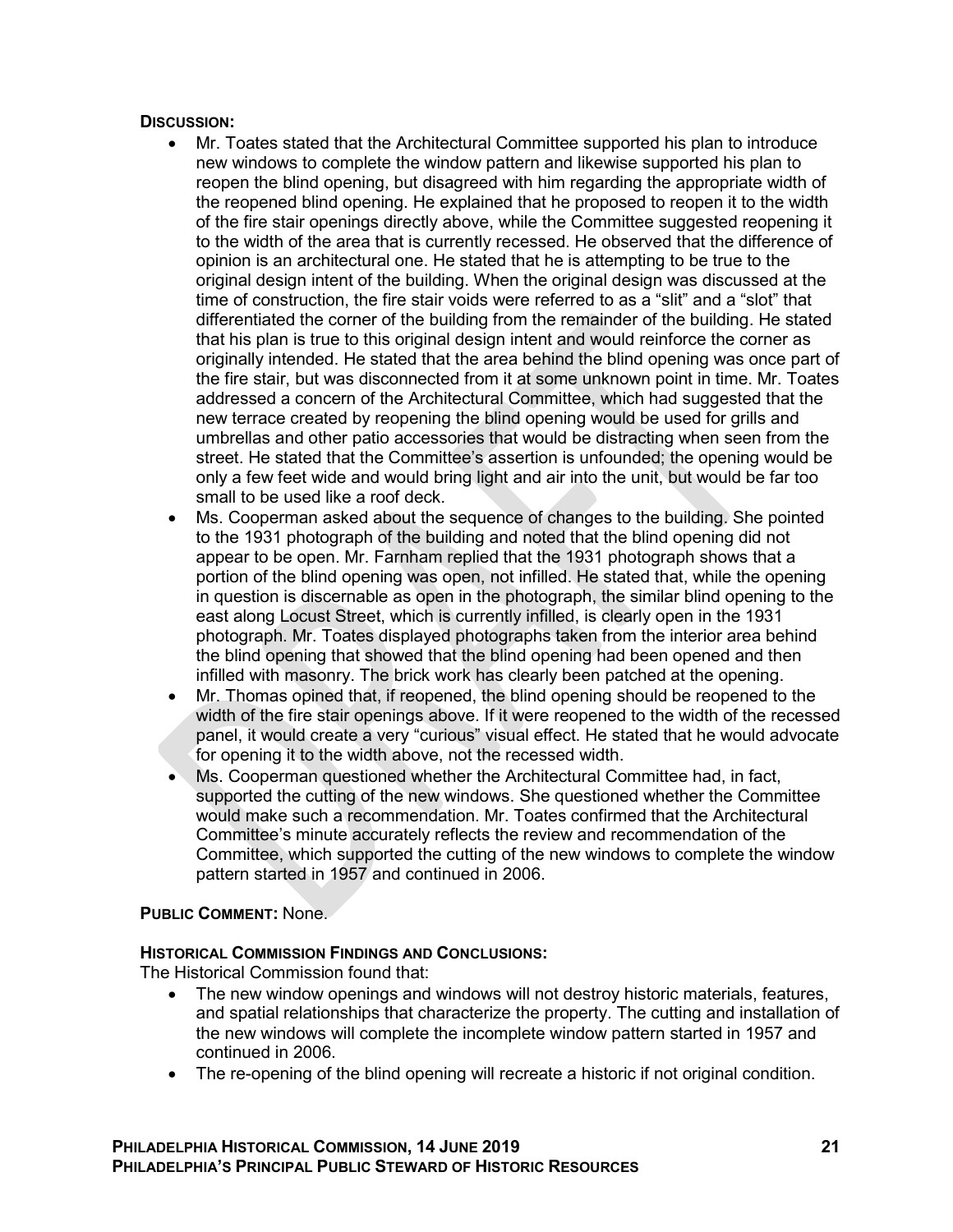### **DISCUSSION:**

- Mr. Toates stated that the Architectural Committee supported his plan to introduce new windows to complete the window pattern and likewise supported his plan to reopen the blind opening, but disagreed with him regarding the appropriate width of the reopened blind opening. He explained that he proposed to reopen it to the width of the fire stair openings directly above, while the Committee suggested reopening it to the width of the area that is currently recessed. He observed that the difference of opinion is an architectural one. He stated that he is attempting to be true to the original design intent of the building. When the original design was discussed at the time of construction, the fire stair voids were referred to as a "slit" and a "slot" that differentiated the corner of the building from the remainder of the building. He stated that his plan is true to this original design intent and would reinforce the corner as originally intended. He stated that the area behind the blind opening was once part of the fire stair, but was disconnected from it at some unknown point in time. Mr. Toates addressed a concern of the Architectural Committee, which had suggested that the new terrace created by reopening the blind opening would be used for grills and umbrellas and other patio accessories that would be distracting when seen from the street. He stated that the Committee's assertion is unfounded; the opening would be only a few feet wide and would bring light and air into the unit, but would be far too small to be used like a roof deck.
- Ms. Cooperman asked about the sequence of changes to the building. She pointed to the 1931 photograph of the building and noted that the blind opening did not appear to be open. Mr. Farnham replied that the 1931 photograph shows that a portion of the blind opening was open, not infilled. He stated that, while the opening in question is discernable as open in the photograph, the similar blind opening to the east along Locust Street, which is currently infilled, is clearly open in the 1931 photograph. Mr. Toates displayed photographs taken from the interior area behind the blind opening that showed that the blind opening had been opened and then infilled with masonry. The brick work has clearly been patched at the opening.
- Mr. Thomas opined that, if reopened, the blind opening should be reopened to the width of the fire stair openings above. If it were reopened to the width of the recessed panel, it would create a very "curious" visual effect. He stated that he would advocate for opening it to the width above, not the recessed width.
- Ms. Cooperman questioned whether the Architectural Committee had, in fact, supported the cutting of the new windows. She questioned whether the Committee would make such a recommendation. Mr. Toates confirmed that the Architectural Committee's minute accurately reflects the review and recommendation of the Committee, which supported the cutting of the new windows to complete the window pattern started in 1957 and continued in 2006.

## **PUBLIC COMMENT:** None.

## **HISTORICAL COMMISSION FINDINGS AND CONCLUSIONS:**

The Historical Commission found that:

- The new window openings and windows will not destroy historic materials, features, and spatial relationships that characterize the property. The cutting and installation of the new windows will complete the incomplete window pattern started in 1957 and continued in 2006.
- The re-opening of the blind opening will recreate a historic if not original condition.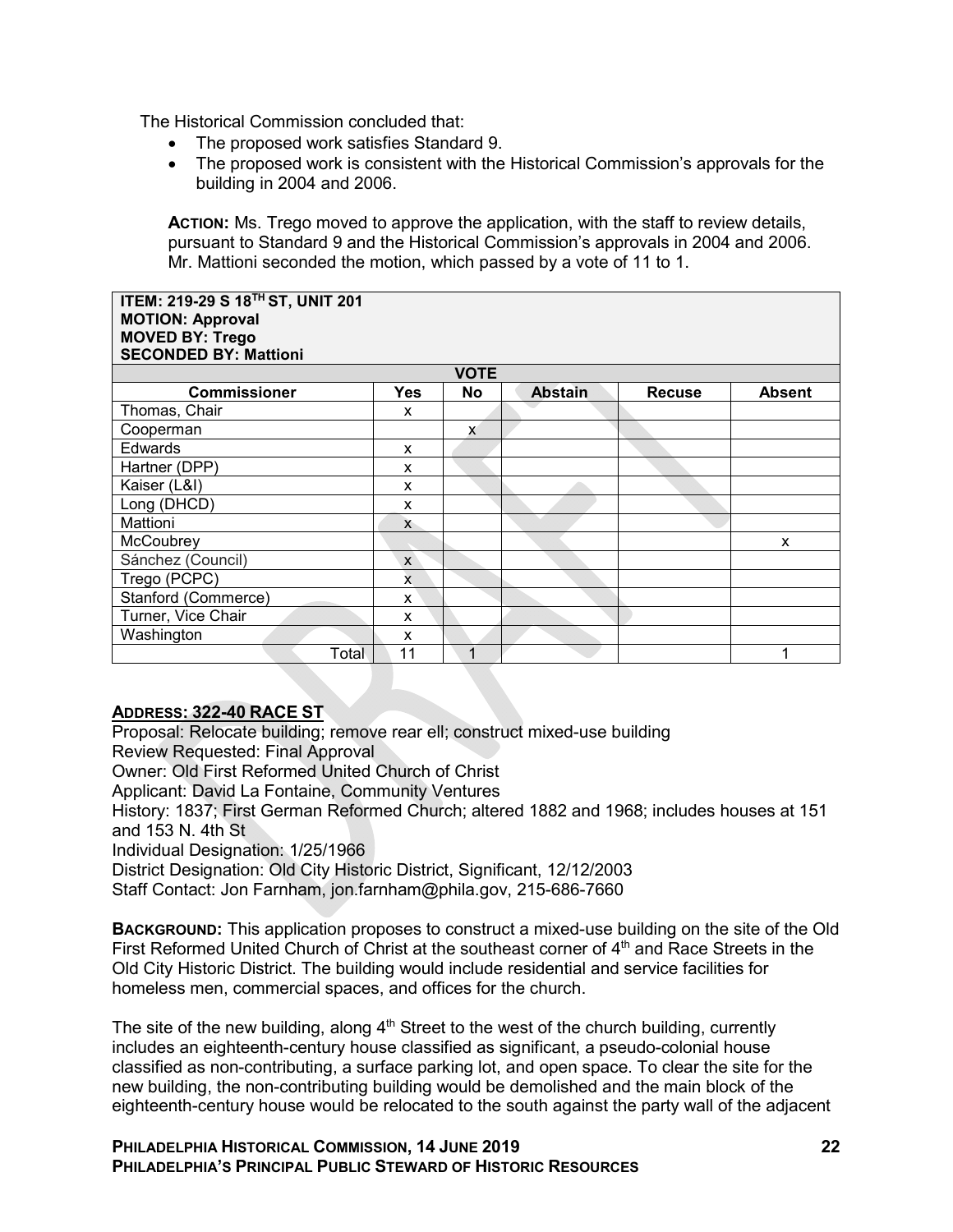The Historical Commission concluded that:

- The proposed work satisfies Standard 9.
- The proposed work is consistent with the Historical Commission's approvals for the building in 2004 and 2006.

**ACTION:** Ms. Trego moved to approve the application, with the staff to review details, pursuant to Standard 9 and the Historical Commission's approvals in 2004 and 2006. Mr. Mattioni seconded the motion, which passed by a vote of 11 to 1.

#### **ITEM: 219-29 S 18TH ST, UNIT 201 MOTION: Approval MOVED BY: Trego SECONDED BY: Mattioni**

| <b>SECONDED BY: MATHONI</b> |              |    |                |               |               |  |  |
|-----------------------------|--------------|----|----------------|---------------|---------------|--|--|
| <b>VOTE</b>                 |              |    |                |               |               |  |  |
| <b>Commissioner</b>         | Yes          | No | <b>Abstain</b> | <b>Recuse</b> | <b>Absent</b> |  |  |
| Thomas, Chair               | X            |    |                |               |               |  |  |
| Cooperman                   |              | X  |                |               |               |  |  |
| Edwards                     | X            |    |                |               |               |  |  |
| Hartner (DPP)               | X            |    |                |               |               |  |  |
| Kaiser (L&I)                | X            |    |                |               |               |  |  |
| Long (DHCD)                 | X            |    |                |               |               |  |  |
| Mattioni                    | X            |    |                |               |               |  |  |
| McCoubrey                   |              |    |                |               | X             |  |  |
| Sánchez (Council)           | $\mathsf{x}$ |    |                |               |               |  |  |
| Trego (PCPC)                | x            |    |                |               |               |  |  |
| Stanford (Commerce)         | X            |    |                |               |               |  |  |
| Turner, Vice Chair          | X            |    |                |               |               |  |  |
| Washington                  | X            |    |                |               |               |  |  |
| Total                       | 11           |    |                |               |               |  |  |

## **ADDRESS: 322-40 RACE ST**

Proposal: Relocate building; remove rear ell; construct mixed-use building Review Requested: Final Approval Owner: Old First Reformed United Church of Christ Applicant: David La Fontaine, Community Ventures History: 1837; First German Reformed Church; altered 1882 and 1968; includes houses at 151 and 153 N. 4th St Individual Designation: 1/25/1966 District Designation: Old City Historic District, Significant, 12/12/2003 Staff Contact: Jon Farnham, jon.farnham@phila.gov, 215-686-7660 **BACKGROUND:** This application proposes to construct a mixed-use building on the site of the Old

First Reformed United Church of Christ at the southeast corner of  $4<sup>th</sup>$  and Race Streets in the Old City Historic District. The building would include residential and service facilities for homeless men, commercial spaces, and offices for the church.

The site of the new building, along  $4<sup>th</sup>$  Street to the west of the church building, currently includes an eighteenth-century house classified as significant, a pseudo-colonial house classified as non-contributing, a surface parking lot, and open space. To clear the site for the new building, the non-contributing building would be demolished and the main block of the eighteenth-century house would be relocated to the south against the party wall of the adjacent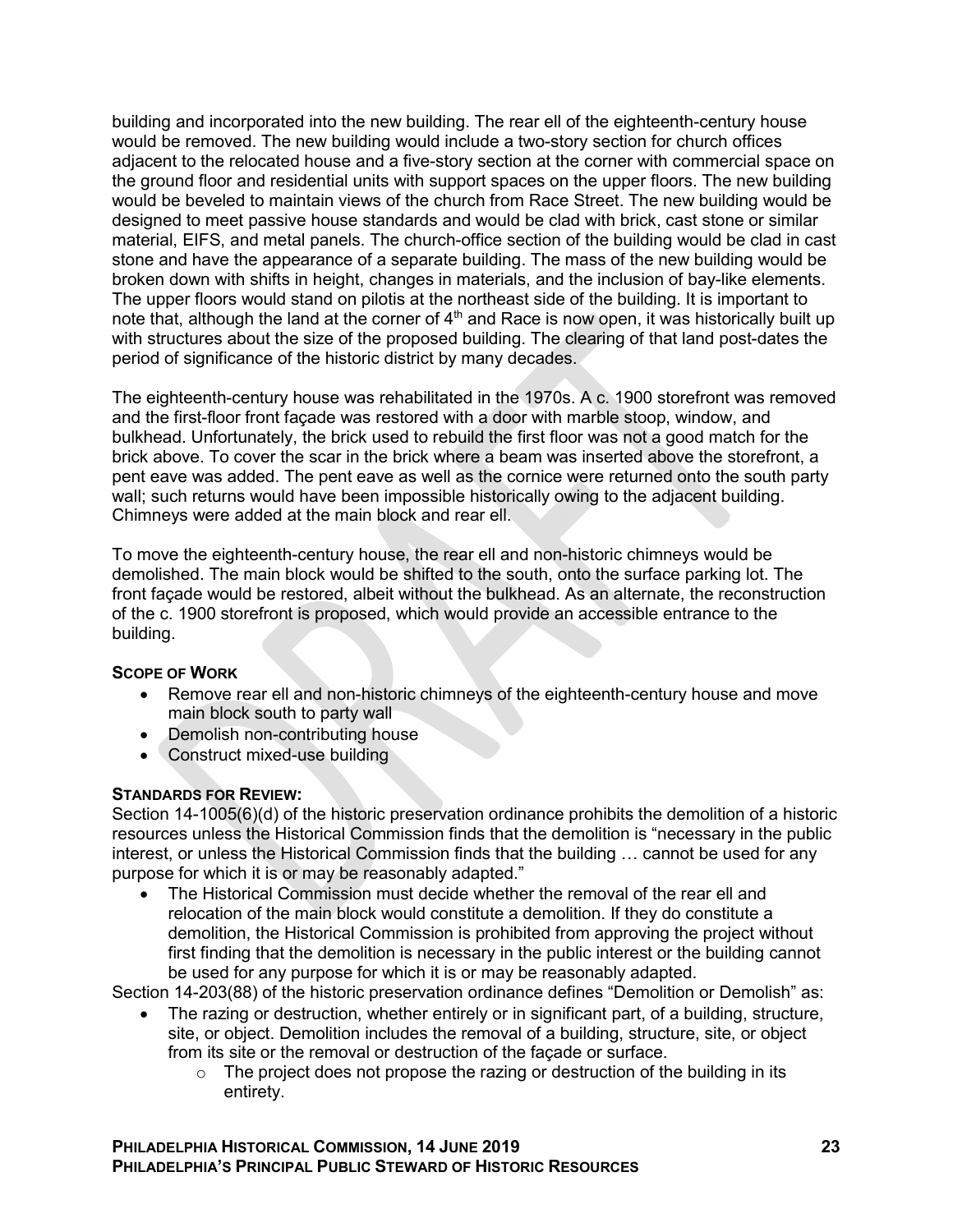building and incorporated into the new building. The rear ell of the eighteenth-century house would be removed. The new building would include a two-story section for church offices adjacent to the relocated house and a five-story section at the corner with commercial space on the ground floor and residential units with support spaces on the upper floors. The new building would be beveled to maintain views of the church from Race Street. The new building would be designed to meet passive house standards and would be clad with brick, cast stone or similar material, EIFS, and metal panels. The church-office section of the building would be clad in cast stone and have the appearance of a separate building. The mass of the new building would be broken down with shifts in height, changes in materials, and the inclusion of bay-like elements. The upper floors would stand on pilotis at the northeast side of the building. It is important to note that, although the land at the corner of  $4<sup>th</sup>$  and Race is now open, it was historically built up with structures about the size of the proposed building. The clearing of that land post-dates the period of significance of the historic district by many decades.

The eighteenth-century house was rehabilitated in the 1970s. A c. 1900 storefront was removed and the first-floor front façade was restored with a door with marble stoop, window, and bulkhead. Unfortunately, the brick used to rebuild the first floor was not a good match for the brick above. To cover the scar in the brick where a beam was inserted above the storefront, a pent eave was added. The pent eave as well as the cornice were returned onto the south party wall; such returns would have been impossible historically owing to the adjacent building. Chimneys were added at the main block and rear ell.

To move the eighteenth-century house, the rear ell and non-historic chimneys would be demolished. The main block would be shifted to the south, onto the surface parking lot. The front façade would be restored, albeit without the bulkhead. As an alternate, the reconstruction of the c. 1900 storefront is proposed, which would provide an accessible entrance to the building.

## **SCOPE OF WORK**

- Remove rear ell and non-historic chimneys of the eighteenth-century house and move main block south to party wall
- Demolish non-contributing house
- Construct mixed-use building

#### **STANDARDS FOR REVIEW:**

Section 14-1005(6)(d) of the historic preservation ordinance prohibits the demolition of a historic resources unless the Historical Commission finds that the demolition is "necessary in the public interest, or unless the Historical Commission finds that the building … cannot be used for any purpose for which it is or may be reasonably adapted."

 The Historical Commission must decide whether the removal of the rear ell and relocation of the main block would constitute a demolition. If they do constitute a demolition, the Historical Commission is prohibited from approving the project without first finding that the demolition is necessary in the public interest or the building cannot be used for any purpose for which it is or may be reasonably adapted.

Section 14-203(88) of the historic preservation ordinance defines "Demolition or Demolish" as:

- The razing or destruction, whether entirely or in significant part, of a building, structure, site, or object. Demolition includes the removal of a building, structure, site, or object from its site or the removal or destruction of the façade or surface.
	- $\circ$  The project does not propose the razing or destruction of the building in its entirety.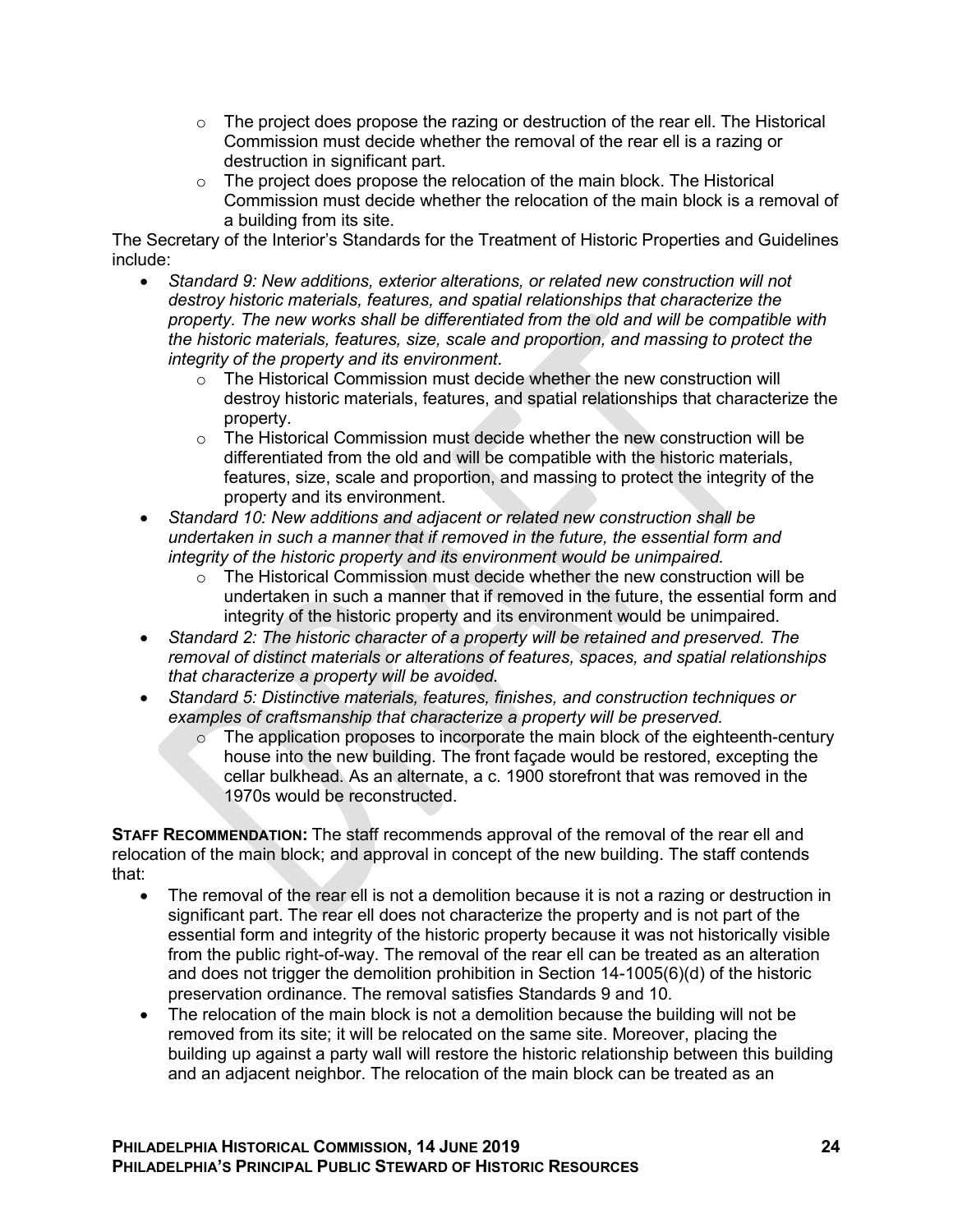- $\circ$  The project does propose the razing or destruction of the rear ell. The Historical Commission must decide whether the removal of the rear ell is a razing or destruction in significant part.
- $\circ$  The project does propose the relocation of the main block. The Historical Commission must decide whether the relocation of the main block is a removal of a building from its site.

The Secretary of the Interior's Standards for the Treatment of Historic Properties and Guidelines include:

- *Standard 9: New additions, exterior alterations, or related new construction will not destroy historic materials, features, and spatial relationships that characterize the property. The new works shall be differentiated from the old and will be compatible with the historic materials, features, size, scale and proportion, and massing to protect the integrity of the property and its environment*.
	- $\circ$  The Historical Commission must decide whether the new construction will destroy historic materials, features, and spatial relationships that characterize the property.
	- $\circ$  The Historical Commission must decide whether the new construction will be differentiated from the old and will be compatible with the historic materials, features, size, scale and proportion, and massing to protect the integrity of the property and its environment.
- *Standard 10: New additions and adjacent or related new construction shall be undertaken in such a manner that if removed in the future, the essential form and integrity of the historic property and its environment would be unimpaired.*
	- $\circ$  The Historical Commission must decide whether the new construction will be undertaken in such a manner that if removed in the future, the essential form and integrity of the historic property and its environment would be unimpaired.
- *Standard 2: The historic character of a property will be retained and preserved. The removal of distinct materials or alterations of features, spaces, and spatial relationships that characterize a property will be avoided.*
- *Standard 5: Distinctive materials, features, finishes, and construction techniques or examples of craftsmanship that characterize a property will be preserved.*
	- o The application proposes to incorporate the main block of the eighteenth-century house into the new building. The front façade would be restored, excepting the cellar bulkhead. As an alternate, a c. 1900 storefront that was removed in the 1970s would be reconstructed.

**STAFF RECOMMENDATION:** The staff recommends approval of the removal of the rear ell and relocation of the main block; and approval in concept of the new building. The staff contends that:

- The removal of the rear ell is not a demolition because it is not a razing or destruction in significant part. The rear ell does not characterize the property and is not part of the essential form and integrity of the historic property because it was not historically visible from the public right-of-way. The removal of the rear ell can be treated as an alteration and does not trigger the demolition prohibition in Section 14-1005(6)(d) of the historic preservation ordinance. The removal satisfies Standards 9 and 10.
- The relocation of the main block is not a demolition because the building will not be removed from its site; it will be relocated on the same site. Moreover, placing the building up against a party wall will restore the historic relationship between this building and an adjacent neighbor. The relocation of the main block can be treated as an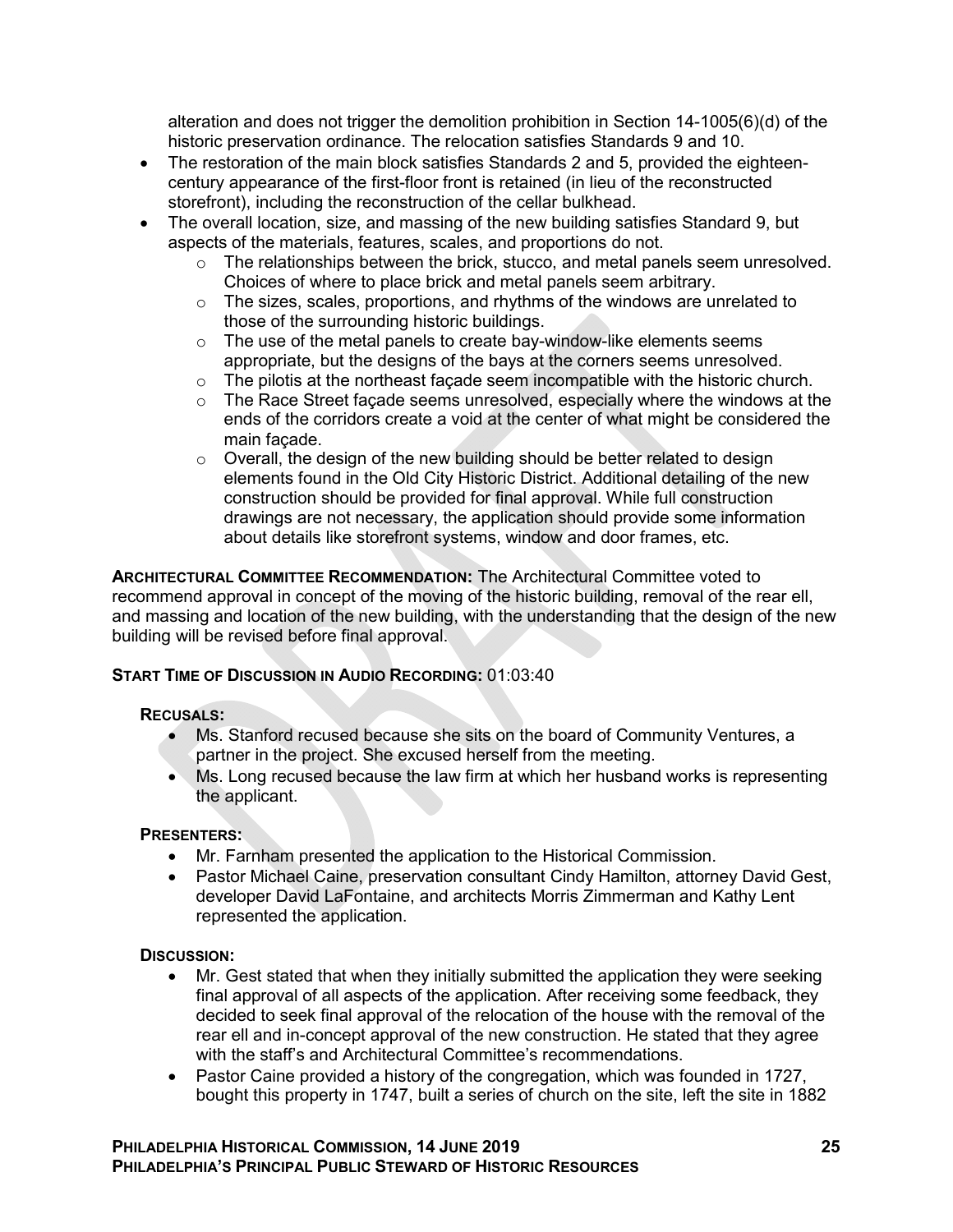alteration and does not trigger the demolition prohibition in Section 14-1005(6)(d) of the historic preservation ordinance. The relocation satisfies Standards 9 and 10.

- The restoration of the main block satisfies Standards 2 and 5, provided the eighteencentury appearance of the first-floor front is retained (in lieu of the reconstructed storefront), including the reconstruction of the cellar bulkhead.
- The overall location, size, and massing of the new building satisfies Standard 9, but aspects of the materials, features, scales, and proportions do not.
	- o The relationships between the brick, stucco, and metal panels seem unresolved. Choices of where to place brick and metal panels seem arbitrary.
	- o The sizes, scales, proportions, and rhythms of the windows are unrelated to those of the surrounding historic buildings.
	- $\circ$  The use of the metal panels to create bay-window-like elements seems appropriate, but the designs of the bays at the corners seems unresolved.
	- $\circ$  The pilotis at the northeast façade seem incompatible with the historic church.
	- $\circ$  The Race Street facade seems unresolved, especially where the windows at the ends of the corridors create a void at the center of what might be considered the main façade.
	- $\circ$  Overall, the design of the new building should be better related to design elements found in the Old City Historic District. Additional detailing of the new construction should be provided for final approval. While full construction drawings are not necessary, the application should provide some information about details like storefront systems, window and door frames, etc.

**ARCHITECTURAL COMMITTEE RECOMMENDATION:** The Architectural Committee voted to recommend approval in concept of the moving of the historic building, removal of the rear ell, and massing and location of the new building, with the understanding that the design of the new building will be revised before final approval.

## **START TIME OF DISCUSSION IN AUDIO RECORDING:** 01:03:40

#### **RECUSALS:**

- Ms. Stanford recused because she sits on the board of Community Ventures, a partner in the project. She excused herself from the meeting.
- Ms. Long recused because the law firm at which her husband works is representing the applicant.

## **PRESENTERS:**

- Mr. Farnham presented the application to the Historical Commission.
- Pastor Michael Caine, preservation consultant Cindy Hamilton, attorney David Gest, developer David LaFontaine, and architects Morris Zimmerman and Kathy Lent represented the application.

## **DISCUSSION:**

- Mr. Gest stated that when they initially submitted the application they were seeking final approval of all aspects of the application. After receiving some feedback, they decided to seek final approval of the relocation of the house with the removal of the rear ell and in-concept approval of the new construction. He stated that they agree with the staff's and Architectural Committee's recommendations.
- Pastor Caine provided a history of the congregation, which was founded in 1727, bought this property in 1747, built a series of church on the site, left the site in 1882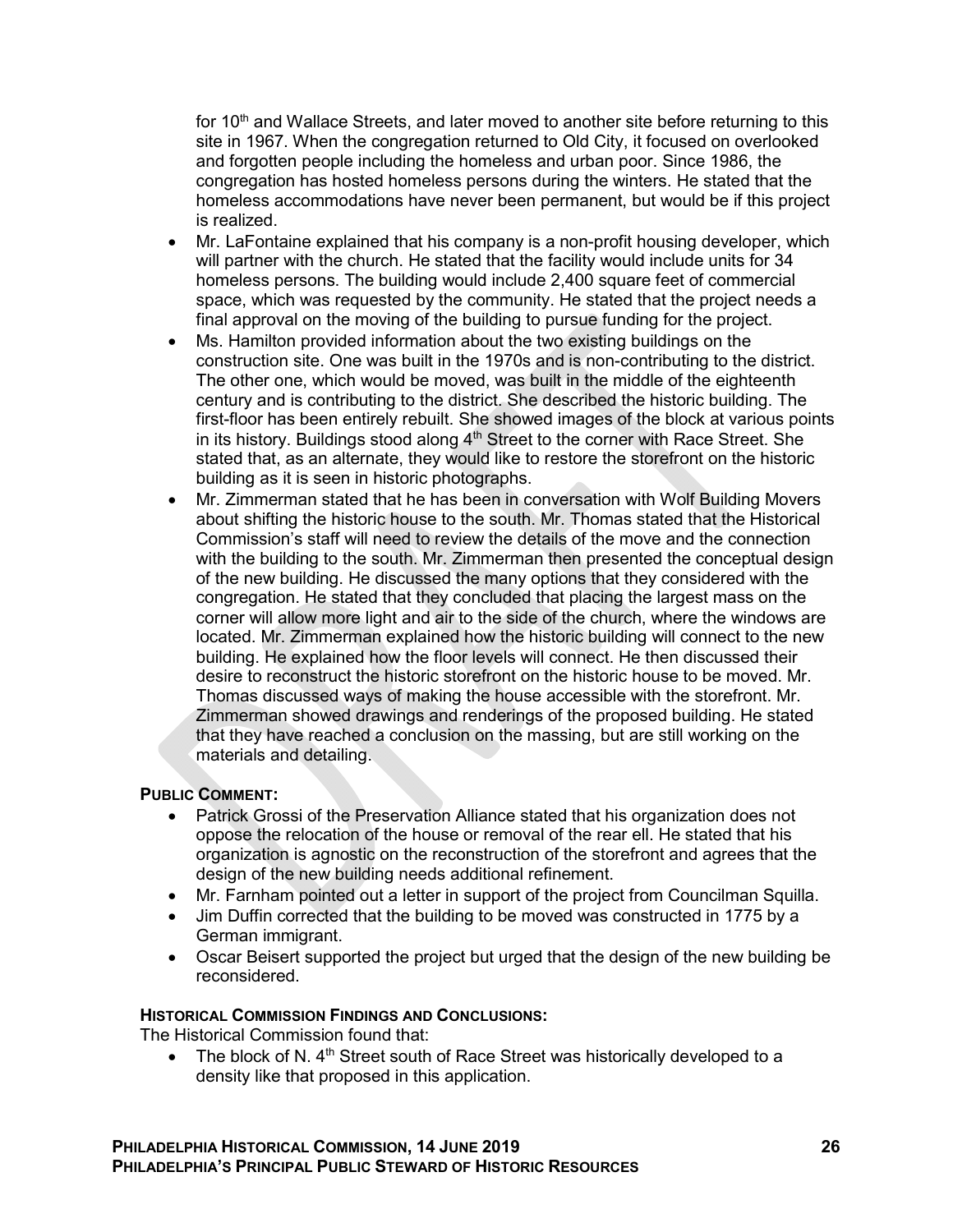for 10<sup>th</sup> and Wallace Streets, and later moved to another site before returning to this site in 1967. When the congregation returned to Old City, it focused on overlooked and forgotten people including the homeless and urban poor. Since 1986, the congregation has hosted homeless persons during the winters. He stated that the homeless accommodations have never been permanent, but would be if this project is realized.

- Mr. LaFontaine explained that his company is a non-profit housing developer, which will partner with the church. He stated that the facility would include units for 34 homeless persons. The building would include 2,400 square feet of commercial space, which was requested by the community. He stated that the project needs a final approval on the moving of the building to pursue funding for the project.
- Ms. Hamilton provided information about the two existing buildings on the construction site. One was built in the 1970s and is non-contributing to the district. The other one, which would be moved, was built in the middle of the eighteenth century and is contributing to the district. She described the historic building. The first-floor has been entirely rebuilt. She showed images of the block at various points in its history. Buildings stood along  $4<sup>th</sup>$  Street to the corner with Race Street. She stated that, as an alternate, they would like to restore the storefront on the historic building as it is seen in historic photographs.
- Mr. Zimmerman stated that he has been in conversation with Wolf Building Movers about shifting the historic house to the south. Mr. Thomas stated that the Historical Commission's staff will need to review the details of the move and the connection with the building to the south. Mr. Zimmerman then presented the conceptual design of the new building. He discussed the many options that they considered with the congregation. He stated that they concluded that placing the largest mass on the corner will allow more light and air to the side of the church, where the windows are located. Mr. Zimmerman explained how the historic building will connect to the new building. He explained how the floor levels will connect. He then discussed their desire to reconstruct the historic storefront on the historic house to be moved. Mr. Thomas discussed ways of making the house accessible with the storefront. Mr. Zimmerman showed drawings and renderings of the proposed building. He stated that they have reached a conclusion on the massing, but are still working on the materials and detailing.

## **PUBLIC COMMENT:**

- Patrick Grossi of the Preservation Alliance stated that his organization does not oppose the relocation of the house or removal of the rear ell. He stated that his organization is agnostic on the reconstruction of the storefront and agrees that the design of the new building needs additional refinement.
- Mr. Farnham pointed out a letter in support of the project from Councilman Squilla.
- Jim Duffin corrected that the building to be moved was constructed in 1775 by a German immigrant.
- Oscar Beisert supported the project but urged that the design of the new building be reconsidered.

## **HISTORICAL COMMISSION FINDINGS AND CONCLUSIONS:**

The Historical Commission found that:

• The block of N.  $4<sup>th</sup>$  Street south of Race Street was historically developed to a density like that proposed in this application.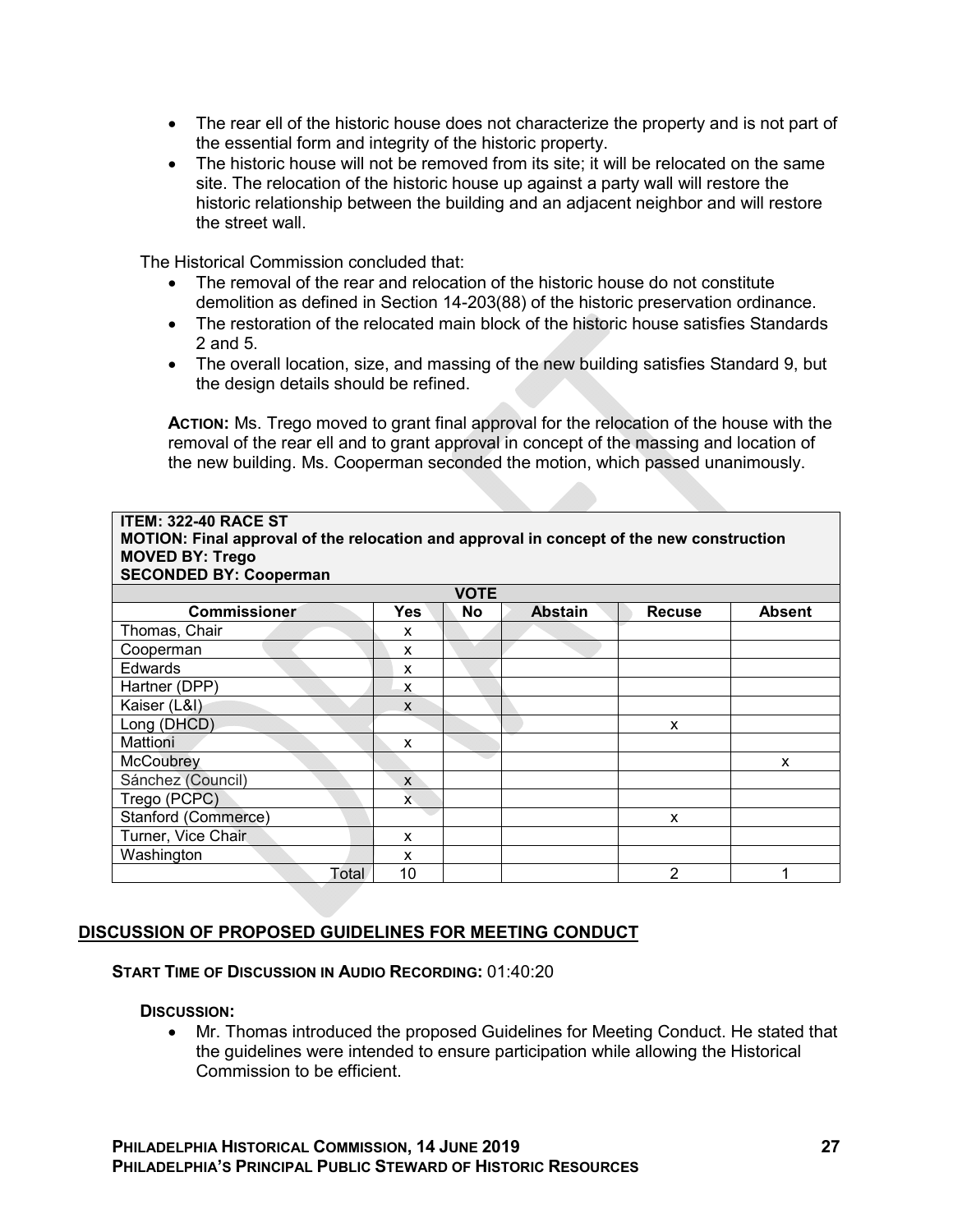- The rear ell of the historic house does not characterize the property and is not part of the essential form and integrity of the historic property.
- The historic house will not be removed from its site; it will be relocated on the same site. The relocation of the historic house up against a party wall will restore the historic relationship between the building and an adjacent neighbor and will restore the street wall.

The Historical Commission concluded that:

- The removal of the rear and relocation of the historic house do not constitute demolition as defined in Section 14-203(88) of the historic preservation ordinance.
- The restoration of the relocated main block of the historic house satisfies Standards 2 and 5.
- The overall location, size, and massing of the new building satisfies Standard 9, but the design details should be refined.

**ACTION:** Ms. Trego moved to grant final approval for the relocation of the house with the removal of the rear ell and to grant approval in concept of the massing and location of the new building. Ms. Cooperman seconded the motion, which passed unanimously.

| <b>ITEM: 322-40 RACE ST</b><br>MOTION: Final approval of the relocation and approval in concept of the new construction<br><b>MOVED BY: Trego</b><br><b>SECONDED BY: Cooperman</b> |            |             |                |               |               |  |
|------------------------------------------------------------------------------------------------------------------------------------------------------------------------------------|------------|-------------|----------------|---------------|---------------|--|
|                                                                                                                                                                                    |            | <b>VOTE</b> |                |               |               |  |
| <b>Commissioner</b>                                                                                                                                                                | <b>Yes</b> | <b>No</b>   | <b>Abstain</b> | <b>Recuse</b> | <b>Absent</b> |  |
| Thomas, Chair                                                                                                                                                                      | x          |             |                |               |               |  |
| Cooperman                                                                                                                                                                          | X          |             |                |               |               |  |
| Edwards                                                                                                                                                                            | X          |             |                |               |               |  |
| Hartner (DPP)                                                                                                                                                                      | x          |             |                |               |               |  |
| Kaiser (L&I)                                                                                                                                                                       | X          |             |                |               |               |  |
| Long (DHCD)                                                                                                                                                                        |            |             |                | X             |               |  |
| Mattioni                                                                                                                                                                           | X          |             |                |               |               |  |
| McCoubrey                                                                                                                                                                          |            |             |                |               | X             |  |
| Sánchez (Council)                                                                                                                                                                  | X          |             |                |               |               |  |
| Trego (PCPC)                                                                                                                                                                       | X.         |             |                |               |               |  |
| Stanford (Commerce)                                                                                                                                                                |            |             |                | X             |               |  |
| Turner, Vice Chair                                                                                                                                                                 | x          |             |                |               |               |  |
| Washington                                                                                                                                                                         | X          |             |                |               |               |  |
| Total                                                                                                                                                                              | 10         |             |                | 2             |               |  |

# **DISCUSSION OF PROPOSED GUIDELINES FOR MEETING CONDUCT**

#### **START TIME OF DISCUSSION IN AUDIO RECORDING:** 01:40:20

#### **DISCUSSION:**

 Mr. Thomas introduced the proposed Guidelines for Meeting Conduct. He stated that the guidelines were intended to ensure participation while allowing the Historical Commission to be efficient.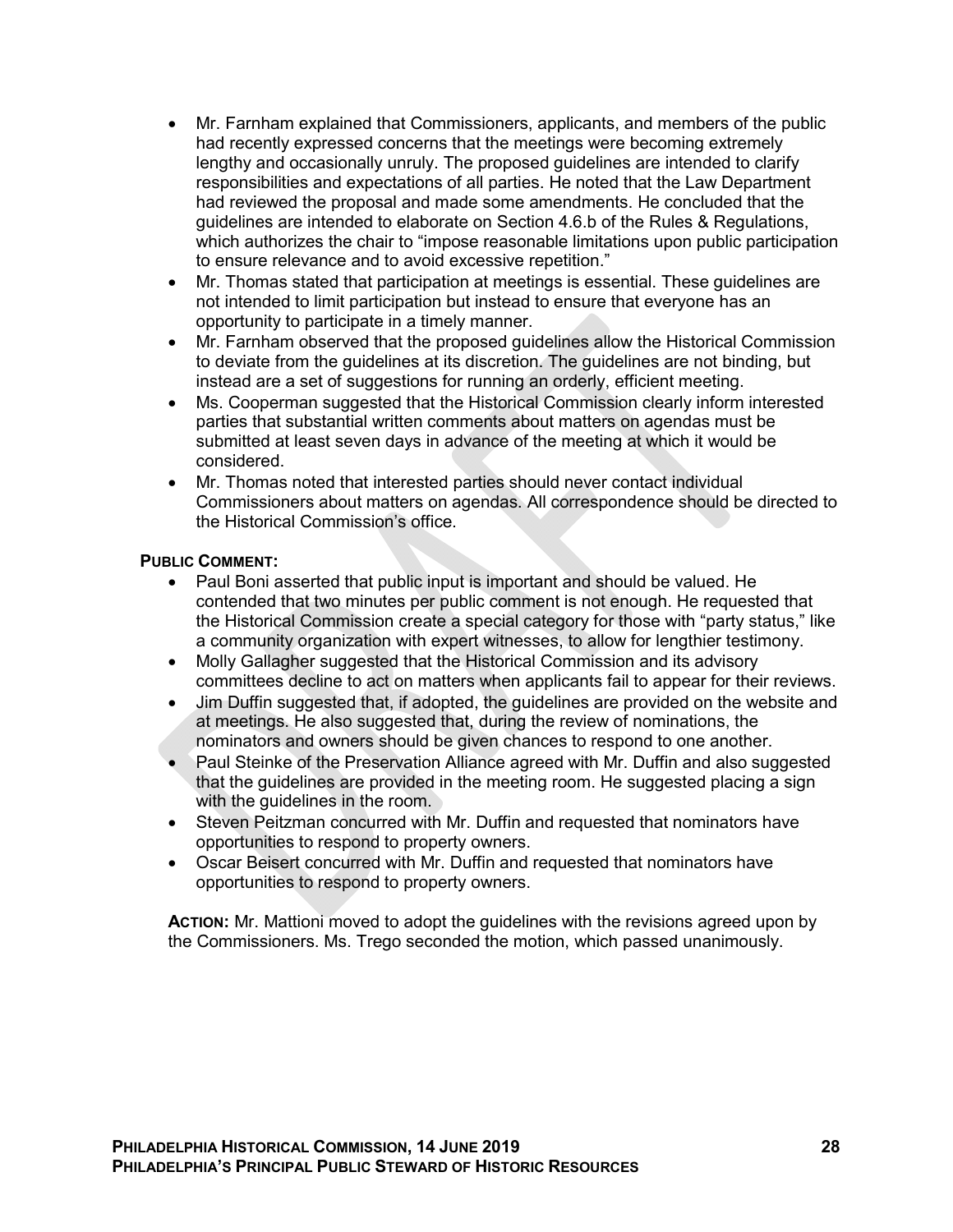- Mr. Farnham explained that Commissioners, applicants, and members of the public had recently expressed concerns that the meetings were becoming extremely lengthy and occasionally unruly. The proposed guidelines are intended to clarify responsibilities and expectations of all parties. He noted that the Law Department had reviewed the proposal and made some amendments. He concluded that the guidelines are intended to elaborate on Section 4.6.b of the Rules & Regulations, which authorizes the chair to "impose reasonable limitations upon public participation to ensure relevance and to avoid excessive repetition."
- Mr. Thomas stated that participation at meetings is essential. These guidelines are not intended to limit participation but instead to ensure that everyone has an opportunity to participate in a timely manner.
- Mr. Farnham observed that the proposed guidelines allow the Historical Commission to deviate from the guidelines at its discretion. The guidelines are not binding, but instead are a set of suggestions for running an orderly, efficient meeting.
- Ms. Cooperman suggested that the Historical Commission clearly inform interested parties that substantial written comments about matters on agendas must be submitted at least seven days in advance of the meeting at which it would be considered.
- Mr. Thomas noted that interested parties should never contact individual Commissioners about matters on agendas. All correspondence should be directed to the Historical Commission's office.

## **PUBLIC COMMENT:**

- Paul Boni asserted that public input is important and should be valued. He contended that two minutes per public comment is not enough. He requested that the Historical Commission create a special category for those with "party status," like a community organization with expert witnesses, to allow for lengthier testimony.
- Molly Gallagher suggested that the Historical Commission and its advisory committees decline to act on matters when applicants fail to appear for their reviews.
- Jim Duffin suggested that, if adopted, the guidelines are provided on the website and at meetings. He also suggested that, during the review of nominations, the nominators and owners should be given chances to respond to one another.
- Paul Steinke of the Preservation Alliance agreed with Mr. Duffin and also suggested that the guidelines are provided in the meeting room. He suggested placing a sign with the guidelines in the room.
- Steven Peitzman concurred with Mr. Duffin and requested that nominators have opportunities to respond to property owners.
- Oscar Beisert concurred with Mr. Duffin and requested that nominators have opportunities to respond to property owners.

**ACTION:** Mr. Mattioni moved to adopt the guidelines with the revisions agreed upon by the Commissioners. Ms. Trego seconded the motion, which passed unanimously.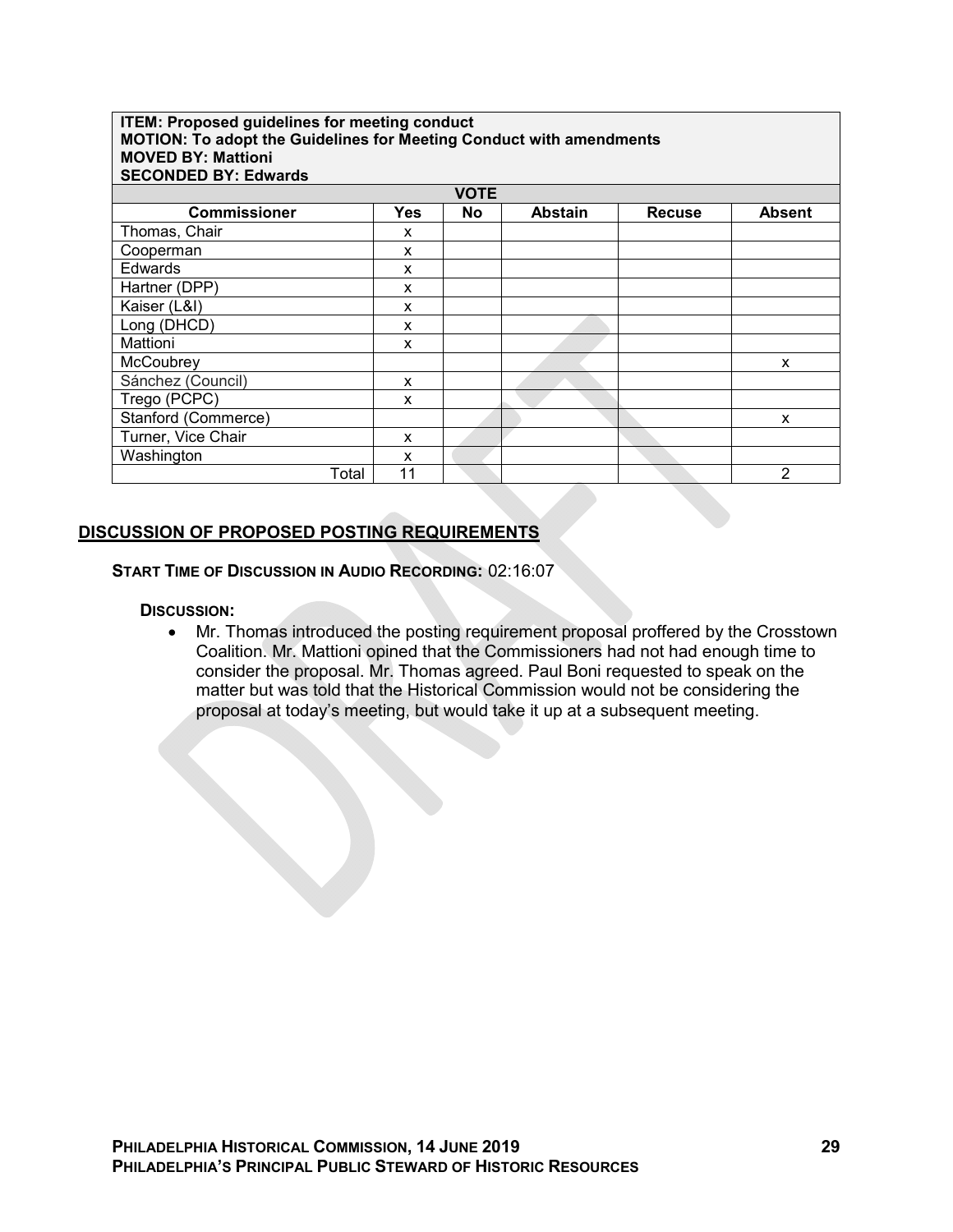#### **ITEM: Proposed guidelines for meeting conduct MOTION: To adopt the Guidelines for Meeting Conduct with amendments MOVED BY: Mattioni SECONDED BY: Edwards VOTE Commissioner Yes No Abstain Recuse Absent** Thomas, Chair X Cooperman x Edwards x Hartner (DPP) x Kaiser (L&I) X Long (DHCD) x Mattioni x McCoubrey x x Sánchez (Council) x Trego (PCPC) x Stanford (Commerce) and the standard commerce of the standard standard standard standard standard standard standard standard standard standard standard standard standard standard standard standard standard standard standar Turner, Vice Chair **x** Washington x<br>Total 11

# **DISCUSSION OF PROPOSED POSTING REQUIREMENTS**

**START TIME OF DISCUSSION IN AUDIO RECORDING:** 02:16:07

**DISCUSSION:**

 Mr. Thomas introduced the posting requirement proposal proffered by the Crosstown Coalition. Mr. Mattioni opined that the Commissioners had not had enough time to consider the proposal. Mr. Thomas agreed. Paul Boni requested to speak on the matter but was told that the Historical Commission would not be considering the proposal at today's meeting, but would take it up at a subsequent meeting.

Total 11 2 2